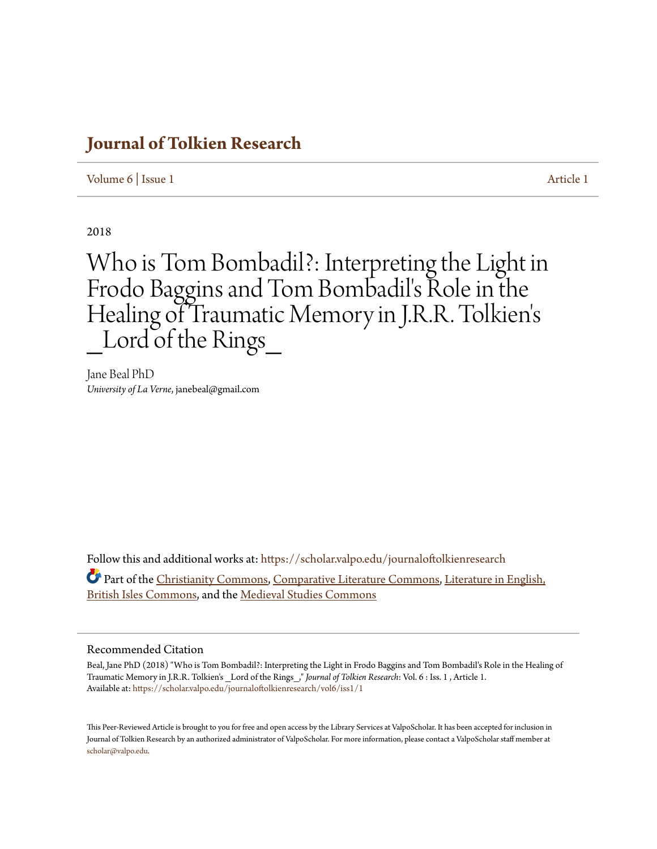# **[Journal of Tolkien Research](https://scholar.valpo.edu/journaloftolkienresearch?utm_source=scholar.valpo.edu%2Fjournaloftolkienresearch%2Fvol6%2Fiss1%2F1&utm_medium=PDF&utm_campaign=PDFCoverPages)**

[Volume 6](https://scholar.valpo.edu/journaloftolkienresearch/vol6?utm_source=scholar.valpo.edu%2Fjournaloftolkienresearch%2Fvol6%2Fiss1%2F1&utm_medium=PDF&utm_campaign=PDFCoverPages) | [Issue 1](https://scholar.valpo.edu/journaloftolkienresearch/vol6/iss1?utm_source=scholar.valpo.edu%2Fjournaloftolkienresearch%2Fvol6%2Fiss1%2F1&utm_medium=PDF&utm_campaign=PDFCoverPages) [Article 1](https://scholar.valpo.edu/journaloftolkienresearch/vol6/iss1/1?utm_source=scholar.valpo.edu%2Fjournaloftolkienresearch%2Fvol6%2Fiss1%2F1&utm_medium=PDF&utm_campaign=PDFCoverPages)

2018

Who is Tom Bombadil?: Interpreting the Light in Frodo Baggins and Tom Bombadil's Role in the Healing of Traumatic Memory in J.R.R. Tolkien ' s Lord of the Rings

Jane Beal PhD *University of La Verne*, janebeal@gmail.com

Follow this and additional works at: [https://scholar.valpo.edu/journaloftolkienresearch](https://scholar.valpo.edu/journaloftolkienresearch?utm_source=scholar.valpo.edu%2Fjournaloftolkienresearch%2Fvol6%2Fiss1%2F1&utm_medium=PDF&utm_campaign=PDFCoverPages) Part of the [Christianity Commons,](http://network.bepress.com/hgg/discipline/1181?utm_source=scholar.valpo.edu%2Fjournaloftolkienresearch%2Fvol6%2Fiss1%2F1&utm_medium=PDF&utm_campaign=PDFCoverPages) [Comparative Literature Commons,](http://network.bepress.com/hgg/discipline/454?utm_source=scholar.valpo.edu%2Fjournaloftolkienresearch%2Fvol6%2Fiss1%2F1&utm_medium=PDF&utm_campaign=PDFCoverPages) [Literature in English,](http://network.bepress.com/hgg/discipline/456?utm_source=scholar.valpo.edu%2Fjournaloftolkienresearch%2Fvol6%2Fiss1%2F1&utm_medium=PDF&utm_campaign=PDFCoverPages) [British Isles Commons](http://network.bepress.com/hgg/discipline/456?utm_source=scholar.valpo.edu%2Fjournaloftolkienresearch%2Fvol6%2Fiss1%2F1&utm_medium=PDF&utm_campaign=PDFCoverPages), and the [Medieval Studies Commons](http://network.bepress.com/hgg/discipline/480?utm_source=scholar.valpo.edu%2Fjournaloftolkienresearch%2Fvol6%2Fiss1%2F1&utm_medium=PDF&utm_campaign=PDFCoverPages)

### Recommended Citation

Beal, Jane PhD (2018) "Who is Tom Bombadil?: Interpreting the Light in Frodo Baggins and Tom Bombadil's Role in the Healing of Traumatic Memory in J.R.R. Tolkien's \_Lord of the Rings\_," *Journal of Tolkien Research*: Vol. 6 : Iss. 1 , Article 1. Available at: [https://scholar.valpo.edu/journaloftolkienresearch/vol6/iss1/1](https://scholar.valpo.edu/journaloftolkienresearch/vol6/iss1/1?utm_source=scholar.valpo.edu%2Fjournaloftolkienresearch%2Fvol6%2Fiss1%2F1&utm_medium=PDF&utm_campaign=PDFCoverPages)

This Peer-Reviewed Article is brought to you for free and open access by the Library Services at ValpoScholar. It has been accepted for inclusion in Journal of Tolkien Research by an authorized administrator of ValpoScholar. For more information, please contact a ValpoScholar staff member at [scholar@valpo.edu.](mailto:scholar@valpo.edu)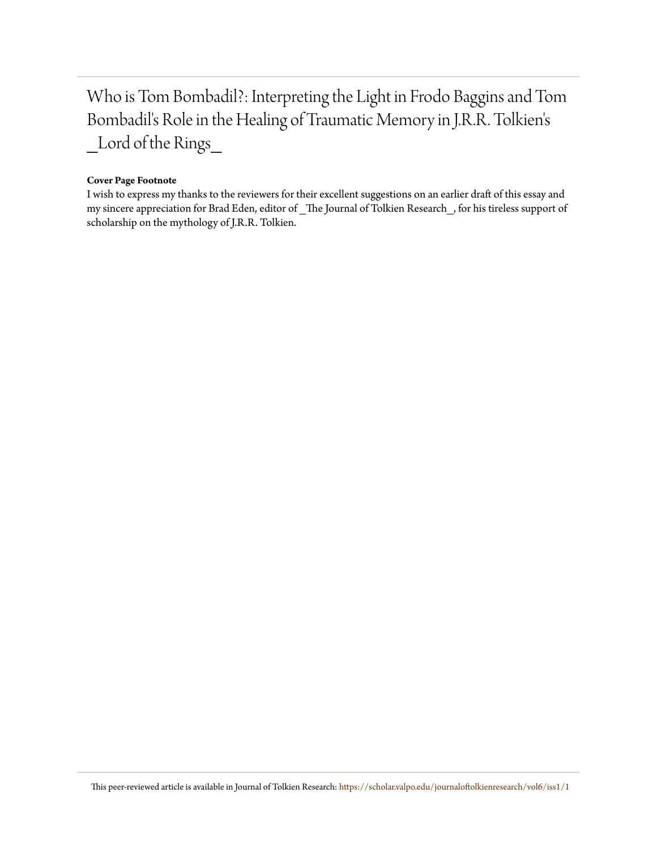Who is Tom Bombadil?: Interpreting the Light in Frodo Baggins and Tom Bombadil's Role in the Healing of Traumatic Memory in J.R.R. Tolkien's \_Lord of the Rings\_

#### **Cover Page Footnote**

I wish to express my thanks to the reviewers for their excellent suggestions on an earlier draft of this essay and my sincere appreciation for Brad Eden, editor of The Journal of Tolkien Research , for his tireless support of scholarship on the mythology of J.R.R. Tolkien.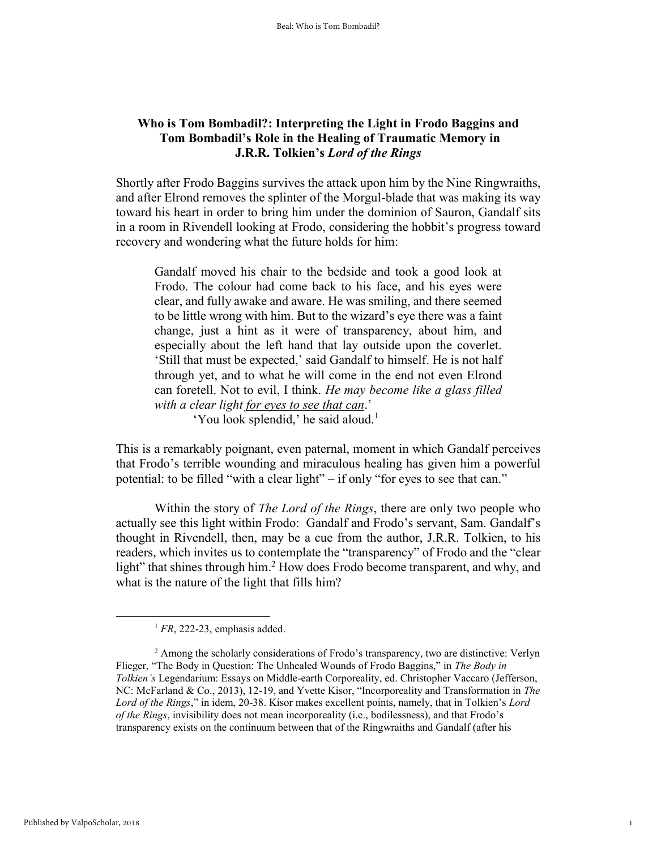# **Who is Tom Bombadil?: Interpreting the Light in Frodo Baggins and Tom Bombadil's Role in the Healing of Traumatic Memory in J.R.R. Tolkien's** *Lord of the Rings*

Shortly after Frodo Baggins survives the attack upon him by the Nine Ringwraiths, and after Elrond removes the splinter of the Morgul-blade that was making its way toward his heart in order to bring him under the dominion of Sauron, Gandalf sits in a room in Rivendell looking at Frodo, considering the hobbit's progress toward recovery and wondering what the future holds for him:

Gandalf moved his chair to the bedside and took a good look at Frodo. The colour had come back to his face, and his eyes were clear, and fully awake and aware. He was smiling, and there seemed to be little wrong with him. But to the wizard's eye there was a faint change, just a hint as it were of transparency, about him, and especially about the left hand that lay outside upon the coverlet. 'Still that must be expected,' said Gandalf to himself. He is not half through yet, and to what he will come in the end not even Elrond can foretell. Not to evil, I think. *He may become like a glass filled with a clear light for eyes to see that can*.'

'You look splendid,' he said aloud.<sup>1</sup>

This is a remarkably poignant, even paternal, moment in which Gandalf perceives that Frodo's terrible wounding and miraculous healing has given him a powerful potential: to be filled "with a clear light" – if only "for eyes to see that can."

Within the story of *The Lord of the Rings*, there are only two people who actually see this light within Frodo: Gandalf and Frodo's servant, Sam. Gandalf's thought in Rivendell, then, may be a cue from the author, J.R.R. Tolkien, to his readers, which invites us to contemplate the "transparency" of Frodo and the "clear light" that shines through him.<sup>2</sup> How does Frodo become transparent, and why, and what is the nature of the light that fills him?

<sup>1</sup> *FR*, 222-23, emphasis added.

<sup>&</sup>lt;sup>2</sup> Among the scholarly considerations of Frodo's transparency, two are distinctive: Verlyn Flieger, "The Body in Question: The Unhealed Wounds of Frodo Baggins," in *The Body in Tolkien's* Legendarium: Essays on Middle-earth Corporeality, ed. Christopher Vaccaro (Jefferson, NC: McFarland & Co., 2013), 12-19, and Yvette Kisor, "Incorporeality and Transformation in *The Lord of the Rings*," in idem, 20-38. Kisor makes excellent points, namely, that in Tolkien's *Lord of the Rings*, invisibility does not mean incorporeality (i.e., bodilessness), and that Frodo's transparency exists on the continuum between that of the Ringwraiths and Gandalf (after his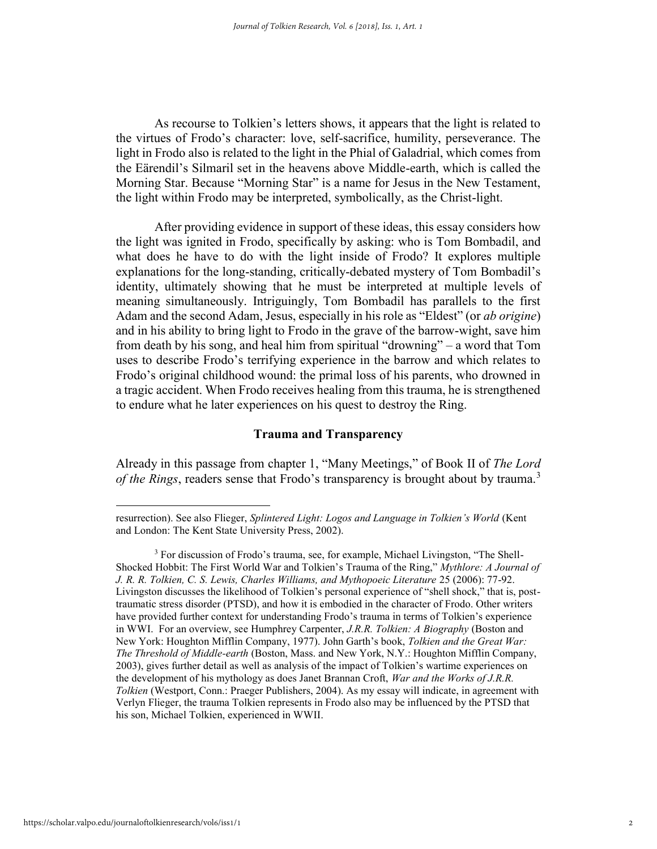As recourse to Tolkien's letters shows, it appears that the light is related to the virtues of Frodo's character: love, self-sacrifice, humility, perseverance. The light in Frodo also is related to the light in the Phial of Galadrial, which comes from the Eärendil's Silmaril set in the heavens above Middle-earth, which is called the Morning Star. Because "Morning Star" is a name for Jesus in the New Testament, the light within Frodo may be interpreted, symbolically, as the Christ-light.

After providing evidence in support of these ideas, this essay considers how the light was ignited in Frodo, specifically by asking: who is Tom Bombadil, and what does he have to do with the light inside of Frodo? It explores multiple explanations for the long-standing, critically-debated mystery of Tom Bombadil's identity, ultimately showing that he must be interpreted at multiple levels of meaning simultaneously. Intriguingly, Tom Bombadil has parallels to the first Adam and the second Adam, Jesus, especially in his role as "Eldest" (or *ab origine*) and in his ability to bring light to Frodo in the grave of the barrow-wight, save him from death by his song, and heal him from spiritual "drowning" – a word that Tom uses to describe Frodo's terrifying experience in the barrow and which relates to Frodo's original childhood wound: the primal loss of his parents, who drowned in a tragic accident. When Frodo receives healing from this trauma, he is strengthened to endure what he later experiences on his quest to destroy the Ring.

## **Trauma and Transparency**

Already in this passage from chapter 1, "Many Meetings," of Book II of *The Lord of the Rings*, readers sense that Frodo's transparency is brought about by trauma.<sup>3</sup>

resurrection). See also Flieger, *Splintered Light: Logos and Language in Tolkien's World* (Kent and London: The Kent State University Press, 2002).

<sup>&</sup>lt;sup>3</sup> For discussion of Frodo's trauma, see, for example, Michael Livingston, "The Shell-Shocked Hobbit: The First World War and Tolkien's Trauma of the Ring," *Mythlore: A Journal of J. R. R. Tolkien, C. S. Lewis, Charles Williams, and Mythopoeic Literature* 25 (2006): 77-92. Livingston discusses the likelihood of Tolkien's personal experience of "shell shock," that is, posttraumatic stress disorder (PTSD), and how it is embodied in the character of Frodo. Other writers have provided further context for understanding Frodo's trauma in terms of Tolkien's experience in WWI. For an overview, see Humphrey Carpenter, *J.R.R. Tolkien: A Biography* (Boston and New York: Houghton Mifflin Company, 1977). John Garth's book, *Tolkien and the Great War: The Threshold of Middle-earth* (Boston, Mass. and New York, N.Y.: Houghton Mifflin Company, 2003), gives further detail as well as analysis of the impact of Tolkien's wartime experiences on the development of his mythology as does Janet Brannan Croft, *War and the Works of J.R.R. Tolkien* (Westport, Conn.: Praeger Publishers, 2004). As my essay will indicate, in agreement with Verlyn Flieger, the trauma Tolkien represents in Frodo also may be influenced by the PTSD that his son, Michael Tolkien, experienced in WWII.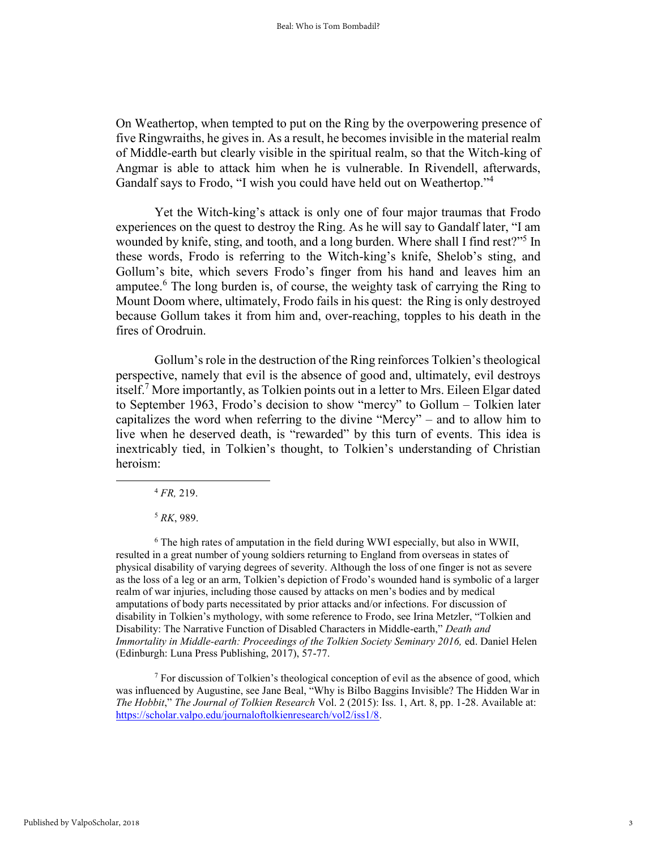On Weathertop, when tempted to put on the Ring by the overpowering presence of five Ringwraiths, he gives in. As a result, he becomes invisible in the material realm of Middle-earth but clearly visible in the spiritual realm, so that the Witch-king of Angmar is able to attack him when he is vulnerable. In Rivendell, afterwards, Gandalf says to Frodo, "I wish you could have held out on Weathertop."<sup>4</sup>

Yet the Witch-king's attack is only one of four major traumas that Frodo experiences on the quest to destroy the Ring. As he will say to Gandalf later, "I am wounded by knife, sting, and tooth, and a long burden. Where shall I find rest?"<sup>5</sup> In these words, Frodo is referring to the Witch-king's knife, Shelob's sting, and Gollum's bite, which severs Frodo's finger from his hand and leaves him an amputee.<sup>6</sup> The long burden is, of course, the weighty task of carrying the Ring to Mount Doom where, ultimately, Frodo fails in his quest: the Ring is only destroyed because Gollum takes it from him and, over-reaching, topples to his death in the fires of Orodruin.

Gollum's role in the destruction of the Ring reinforces Tolkien's theological perspective, namely that evil is the absence of good and, ultimately, evil destroys itself.<sup>7</sup> More importantly, as Tolkien points out in a letter to Mrs. Eileen Elgar dated to September 1963, Frodo's decision to show "mercy" to Gollum – Tolkien later capitalizes the word when referring to the divine "Mercy" – and to allow him to live when he deserved death, is "rewarded" by this turn of events. This idea is inextricably tied, in Tolkien's thought, to Tolkien's understanding of Christian heroism:

<sup>4</sup> *FR,* 219.

l

<sup>5</sup> *RK*, 989.

<sup>6</sup> The high rates of amputation in the field during WWI especially, but also in WWII, resulted in a great number of young soldiers returning to England from overseas in states of physical disability of varying degrees of severity. Although the loss of one finger is not as severe as the loss of a leg or an arm, Tolkien's depiction of Frodo's wounded hand is symbolic of a larger realm of war injuries, including those caused by attacks on men's bodies and by medical amputations of body parts necessitated by prior attacks and/or infections. For discussion of disability in Tolkien's mythology, with some reference to Frodo, see Irina Metzler, "Tolkien and Disability: The Narrative Function of Disabled Characters in Middle-earth," *Death and Immortality in Middle-earth: Proceedings of the Tolkien Society Seminary 2016,* ed. Daniel Helen (Edinburgh: Luna Press Publishing, 2017), 57-77.

<sup>7</sup> For discussion of Tolkien's theological conception of evil as the absence of good, which was influenced by Augustine, see Jane Beal, "Why is Bilbo Baggins Invisible? The Hidden War in *The Hobbit*," *The Journal of Tolkien Research* Vol. 2 (2015): Iss. 1, Art. 8, pp. 1-28. Available at: [https://scholar.valpo.edu/journaloftolkienresearch/vol2/iss1/8.](https://scholar.valpo.edu/journaloftolkienresearch/vol2/iss1/8)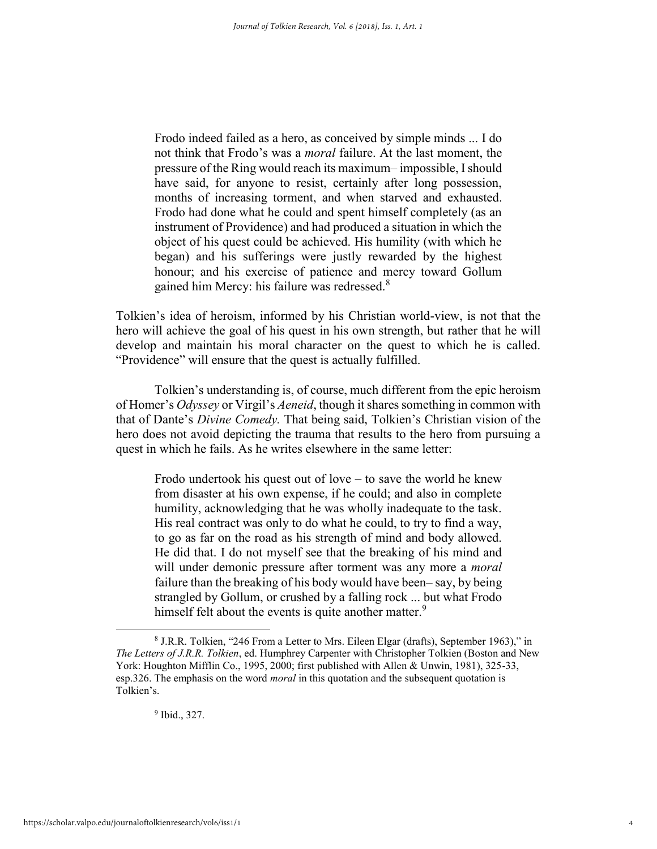Frodo indeed failed as a hero, as conceived by simple minds ... I do not think that Frodo's was a *moral* failure. At the last moment, the pressure of the Ring would reach its maximum– impossible, I should have said, for anyone to resist, certainly after long possession, months of increasing torment, and when starved and exhausted. Frodo had done what he could and spent himself completely (as an instrument of Providence) and had produced a situation in which the object of his quest could be achieved. His humility (with which he began) and his sufferings were justly rewarded by the highest honour; and his exercise of patience and mercy toward Gollum gained him Mercy: his failure was redressed.<sup>8</sup>

Tolkien's idea of heroism, informed by his Christian world-view, is not that the hero will achieve the goal of his quest in his own strength, but rather that he will develop and maintain his moral character on the quest to which he is called. "Providence" will ensure that the quest is actually fulfilled.

Tolkien's understanding is, of course, much different from the epic heroism of Homer's *Odyssey* or Virgil's *Aeneid*, though it shares something in common with that of Dante's *Divine Comedy.* That being said, Tolkien's Christian vision of the hero does not avoid depicting the trauma that results to the hero from pursuing a quest in which he fails. As he writes elsewhere in the same letter:

Frodo undertook his quest out of love – to save the world he knew from disaster at his own expense, if he could; and also in complete humility, acknowledging that he was wholly inadequate to the task. His real contract was only to do what he could, to try to find a way, to go as far on the road as his strength of mind and body allowed. He did that. I do not myself see that the breaking of his mind and will under demonic pressure after torment was any more a *moral* failure than the breaking of his body would have been– say, by being strangled by Gollum, or crushed by a falling rock ... but what Frodo himself felt about the events is quite another matter.<sup>9</sup>

<sup>&</sup>lt;sup>8</sup> J.R.R. Tolkien, "246 From a Letter to Mrs. Eileen Elgar (drafts), September 1963)," in *The Letters of J.R.R. Tolkien*, ed. Humphrey Carpenter with Christopher Tolkien (Boston and New York: Houghton Mifflin Co., 1995, 2000; first published with Allen & Unwin, 1981), 325-33, esp.326. The emphasis on the word *moral* in this quotation and the subsequent quotation is Tolkien's.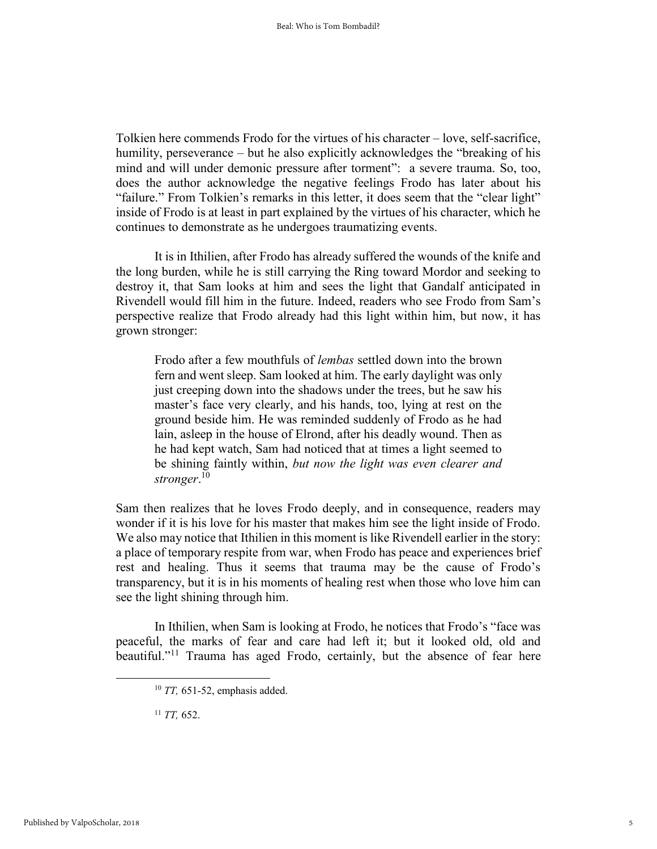Tolkien here commends Frodo for the virtues of his character – love, self-sacrifice, humility, perseverance – but he also explicitly acknowledges the "breaking of his mind and will under demonic pressure after torment": a severe trauma. So, too, does the author acknowledge the negative feelings Frodo has later about his "failure." From Tolkien's remarks in this letter, it does seem that the "clear light" inside of Frodo is at least in part explained by the virtues of his character, which he continues to demonstrate as he undergoes traumatizing events.

It is in Ithilien, after Frodo has already suffered the wounds of the knife and the long burden, while he is still carrying the Ring toward Mordor and seeking to destroy it, that Sam looks at him and sees the light that Gandalf anticipated in Rivendell would fill him in the future. Indeed, readers who see Frodo from Sam's perspective realize that Frodo already had this light within him, but now, it has grown stronger:

Frodo after a few mouthfuls of *lembas* settled down into the brown fern and went sleep. Sam looked at him. The early daylight was only just creeping down into the shadows under the trees, but he saw his master's face very clearly, and his hands, too, lying at rest on the ground beside him. He was reminded suddenly of Frodo as he had lain, asleep in the house of Elrond, after his deadly wound. Then as he had kept watch, Sam had noticed that at times a light seemed to be shining faintly within, *but now the light was even clearer and stronger*. 10

Sam then realizes that he loves Frodo deeply, and in consequence, readers may wonder if it is his love for his master that makes him see the light inside of Frodo. We also may notice that Ithilien in this moment is like Rivendell earlier in the story: a place of temporary respite from war, when Frodo has peace and experiences brief rest and healing. Thus it seems that trauma may be the cause of Frodo's transparency, but it is in his moments of healing rest when those who love him can see the light shining through him.

In Ithilien, when Sam is looking at Frodo, he notices that Frodo's "face was peaceful, the marks of fear and care had left it; but it looked old, old and beautiful."<sup>11</sup> Trauma has aged Frodo, certainly, but the absence of fear here

<sup>11</sup> *TT,* 652.

<sup>10</sup> *TT,* 651-52, emphasis added.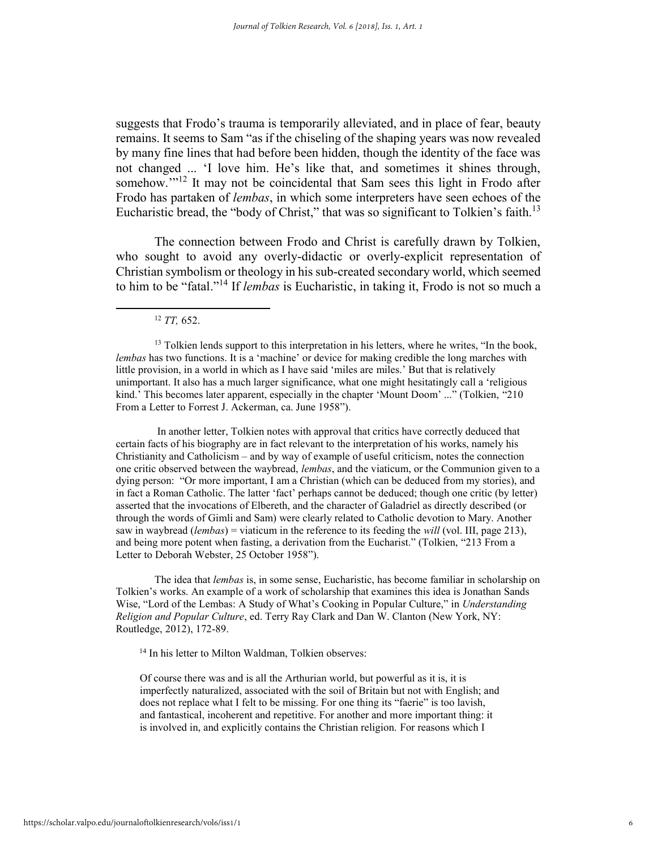suggests that Frodo's trauma is temporarily alleviated, and in place of fear, beauty remains. It seems to Sam "as if the chiseling of the shaping years was now revealed by many fine lines that had before been hidden, though the identity of the face was not changed ... 'I love him. He's like that, and sometimes it shines through, somehow."<sup>12</sup> It may not be coincidental that Sam sees this light in Frodo after Frodo has partaken of *lembas*, in which some interpreters have seen echoes of the Eucharistic bread, the "body of Christ," that was so significant to Tolkien's faith.<sup>13</sup>

The connection between Frodo and Christ is carefully drawn by Tolkien, who sought to avoid any overly-didactic or overly-explicit representation of Christian symbolism or theology in his sub-created secondary world, which seemed to him to be "fatal." <sup>14</sup> If *lembas* is Eucharistic, in taking it, Frodo is not so much a

<sup>12</sup> *TT,* 652.

 $\overline{a}$ 

In another letter, Tolkien notes with approval that critics have correctly deduced that certain facts of his biography are in fact relevant to the interpretation of his works, namely his Christianity and Catholicism – and by way of example of useful criticism, notes the connection one critic observed between the waybread, *lembas*, and the viaticum, or the Communion given to a dying person: "Or more important, I am a Christian (which can be deduced from my stories), and in fact a Roman Catholic. The latter 'fact' perhaps cannot be deduced; though one critic (by letter) asserted that the invocations of Elbereth, and the character of Galadriel as directly described (or through the words of Gimli and Sam) were clearly related to Catholic devotion to Mary. Another saw in waybread (*lembas*) = viaticum in the reference to its feeding the *will* (vol. III, page 213), and being more potent when fasting, a derivation from the Eucharist." (Tolkien, "213 From a Letter to Deborah Webster, 25 October 1958").

The idea that *lembas* is, in some sense, Eucharistic, has become familiar in scholarship on Tolkien's works. An example of a work of scholarship that examines this idea is Jonathan Sands Wise, "Lord of the Lembas: A Study of What's Cooking in Popular Culture," in *Understanding Religion and Popular Culture*, ed. Terry Ray Clark and Dan W. Clanton (New York, NY: Routledge, 2012), 172-89.

<sup>14</sup> In his letter to Milton Waldman, Tolkien observes:

Of course there was and is all the Arthurian world, but powerful as it is, it is imperfectly naturalized, associated with the soil of Britain but not with English; and does not replace what I felt to be missing. For one thing its "faerie" is too lavish, and fantastical, incoherent and repetitive. For another and more important thing: it is involved in, and explicitly contains the Christian religion. For reasons which I

 $<sup>13</sup>$  Tolkien lends support to this interpretation in his letters, where he writes, "In the book,</sup> *lembas* has two functions. It is a 'machine' or device for making credible the long marches with little provision, in a world in which as I have said 'miles are miles.' But that is relatively unimportant. It also has a much larger significance, what one might hesitatingly call a 'religious kind.' This becomes later apparent, especially in the chapter 'Mount Doom' ..." (Tolkien, "210 From a Letter to Forrest J. Ackerman, ca. June 1958").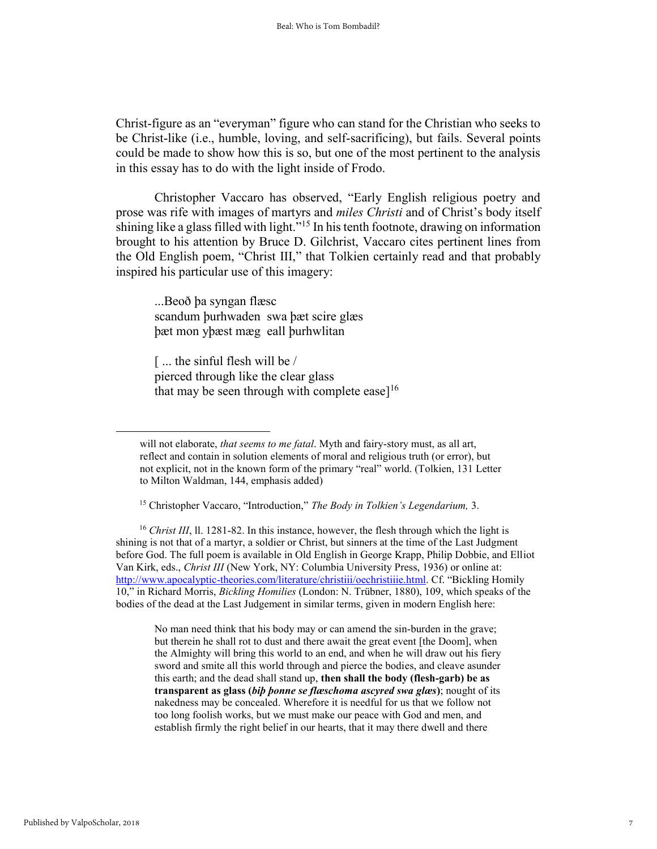Christ-figure as an "everyman" figure who can stand for the Christian who seeks to be Christ-like (i.e., humble, loving, and self-sacrificing), but fails. Several points could be made to show how this is so, but one of the most pertinent to the analysis in this essay has to do with the light inside of Frodo.

Christopher Vaccaro has observed, "Early English religious poetry and prose was rife with images of martyrs and *miles Christi* and of Christ's body itself shining like a glass filled with light."<sup>15</sup> In his tenth footnote, drawing on information brought to his attention by Bruce D. Gilchrist, Vaccaro cites pertinent lines from the Old English poem, "Christ III," that Tolkien certainly read and that probably inspired his particular use of this imagery:

...Beoð þa syngan flæsc scandum þurhwaden swa þæt scire glæs þæt mon yþæst mæg eall þurhwlitan

[ ... the sinful flesh will be / pierced through like the clear glass that may be seen through with complete ease]<sup>16</sup>

<sup>16</sup> *Christ III*, ll. 1281-82. In this instance, however, the flesh through which the light is shining is not that of a martyr, a soldier or Christ, but sinners at the time of the Last Judgment before God. The full poem is available in Old English in George Krapp, Philip Dobbie, and Elliot Van Kirk, eds., *Christ III* (New York, NY: Columbia University Press, 1936) or online at: <http://www.apocalyptic-theories.com/literature/christiii/oechristiiie.html>. Cf. "Bickling Homily 10," in Richard Morris, *Bickling Homilies* (London: N. Trübner, 1880), 109, which speaks of the bodies of the dead at the Last Judgement in similar terms, given in modern English here:

No man need think that his body may or can amend the sin-burden in the grave; but therein he shall rot to dust and there await the great event [the Doom], when the Almighty will bring this world to an end, and when he will draw out his fiery sword and smite all this world through and pierce the bodies, and cleave asunder this earth; and the dead shall stand up, **then shall the body (flesh-garb) be as transparent as glass (***biþ þonne se flæschoma ascyred swa glæs***)**; nought of its nakedness may be concealed. Wherefore it is needful for us that we follow not too long foolish works, but we must make our peace with God and men, and establish firmly the right belief in our hearts, that it may there dwell and there

will not elaborate, *that seems to me fatal*. Myth and fairy-story must, as all art, reflect and contain in solution elements of moral and religious truth (or error), but not explicit, not in the known form of the primary "real" world. (Tolkien, 131 Letter to Milton Waldman, 144, emphasis added)

<sup>15</sup> Christopher Vaccaro, "Introduction," *The Body in Tolkien's Legendarium,* 3.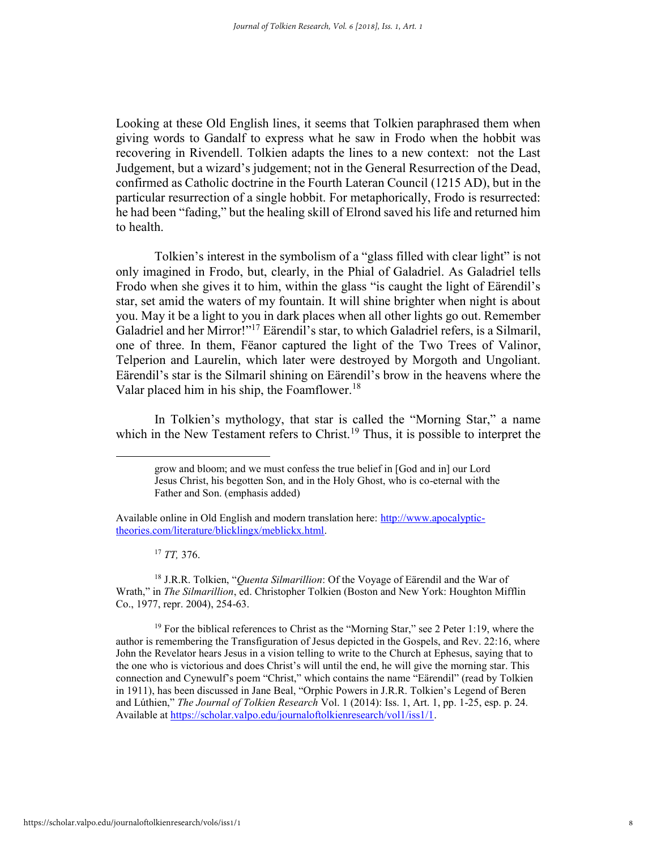Looking at these Old English lines, it seems that Tolkien paraphrased them when giving words to Gandalf to express what he saw in Frodo when the hobbit was recovering in Rivendell. Tolkien adapts the lines to a new context: not the Last Judgement, but a wizard's judgement; not in the General Resurrection of the Dead, confirmed as Catholic doctrine in the Fourth Lateran Council (1215 AD), but in the particular resurrection of a single hobbit. For metaphorically, Frodo is resurrected: he had been "fading," but the healing skill of Elrond saved his life and returned him to health.

 Tolkien's interest in the symbolism of a "glass filled with clear light" is not only imagined in Frodo, but, clearly, in the Phial of Galadriel. As Galadriel tells Frodo when she gives it to him, within the glass "is caught the light of Eärendil's star, set amid the waters of my fountain. It will shine brighter when night is about you. May it be a light to you in dark places when all other lights go out. Remember Galadriel and her Mirror!"<sup>17</sup> Eärendil's star, to which Galadriel refers, is a Silmaril, one of three. In them, Fëanor captured the light of the Two Trees of Valinor, Telperion and Laurelin, which later were destroyed by Morgoth and Ungoliant. Eärendil's star is the Silmaril shining on Eärendil's brow in the heavens where the Valar placed him in his ship, the Foamflower.<sup>18</sup>

 In Tolkien's mythology, that star is called the "Morning Star," a name which in the New Testament refers to Christ.<sup>19</sup> Thus, it is possible to interpret the

<sup>17</sup> *TT,* 376.

 $\overline{a}$ 

<sup>18</sup> J.R.R. Tolkien, "*Quenta Silmarillion*: Of the Voyage of Eärendil and the War of Wrath," in *The Silmarillion*, ed. Christopher Tolkien (Boston and New York: Houghton Mifflin Co., 1977, repr. 2004), 254-63.

<sup>19</sup> For the biblical references to Christ as the "Morning Star," see 2 Peter 1:19, where the author is remembering the Transfiguration of Jesus depicted in the Gospels, and Rev. 22:16, where John the Revelator hears Jesus in a vision telling to write to the Church at Ephesus, saying that to the one who is victorious and does Christ's will until the end, he will give the morning star. This connection and Cynewulf's poem "Christ," which contains the name "Eärendil" (read by Tolkien in 1911), has been discussed in Jane Beal, "Orphic Powers in J.R.R. Tolkien's Legend of Beren and Lúthien," *The Journal of Tolkien Research* Vol. 1 (2014): Iss. 1, Art. 1, pp. 1-25, esp. p. 24. Available at [https://scholar.valpo.edu/journaloftolkienresearch/vol1/iss1/1.](https://scholar.valpo.edu/journaloftolkienresearch/vol1/iss1/1)

grow and bloom; and we must confess the true belief in [God and in] our Lord Jesus Christ, his begotten Son, and in the Holy Ghost, who is co-eternal with the Father and Son. (emphasis added)

Available online in Old English and modern translation here: [http://www.apocalyptic](http://www.apocalyptic-theories.com/literature/blicklingx/meblickx.html)[theories.com/literature/blicklingx/meblickx.html.](http://www.apocalyptic-theories.com/literature/blicklingx/meblickx.html)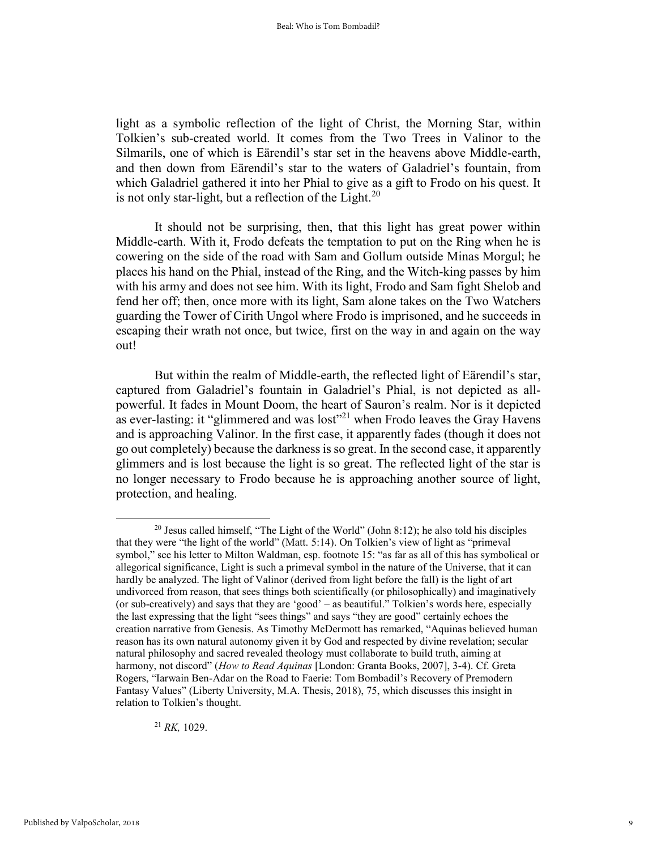light as a symbolic reflection of the light of Christ, the Morning Star, within Tolkien's sub-created world. It comes from the Two Trees in Valinor to the Silmarils, one of which is Eärendil's star set in the heavens above Middle-earth, and then down from Eärendil's star to the waters of Galadriel's fountain, from which Galadriel gathered it into her Phial to give as a gift to Frodo on his quest. It is not only star-light, but a reflection of the Light. $^{20}$ 

 It should not be surprising, then, that this light has great power within Middle-earth. With it, Frodo defeats the temptation to put on the Ring when he is cowering on the side of the road with Sam and Gollum outside Minas Morgul; he places his hand on the Phial, instead of the Ring, and the Witch-king passes by him with his army and does not see him. With its light, Frodo and Sam fight Shelob and fend her off; then, once more with its light, Sam alone takes on the Two Watchers guarding the Tower of Cirith Ungol where Frodo is imprisoned, and he succeeds in escaping their wrath not once, but twice, first on the way in and again on the way out!

 But within the realm of Middle-earth, the reflected light of Eärendil's star, captured from Galadriel's fountain in Galadriel's Phial, is not depicted as allpowerful. It fades in Mount Doom, the heart of Sauron's realm. Nor is it depicted as ever-lasting: it "glimmered and was lost"<sup>21</sup> when Frodo leaves the Gray Havens and is approaching Valinor. In the first case, it apparently fades (though it does not go out completely) because the darkness is so great. In the second case, it apparently glimmers and is lost because the light is so great. The reflected light of the star is no longer necessary to Frodo because he is approaching another source of light, protection, and healing.

<sup>21</sup> *RK,* 1029.

<sup>20</sup> Jesus called himself, "The Light of the World" (John 8:12); he also told his disciples that they were "the light of the world" (Matt. 5:14). On Tolkien's view of light as "primeval symbol," see his letter to Milton Waldman, esp. footnote 15: "as far as all of this has symbolical or allegorical significance, Light is such a primeval symbol in the nature of the Universe, that it can hardly be analyzed. The light of Valinor (derived from light before the fall) is the light of art undivorced from reason, that sees things both scientifically (or philosophically) and imaginatively (or sub-creatively) and says that they are 'good' – as beautiful." Tolkien's words here, especially the last expressing that the light "sees things" and says "they are good" certainly echoes the creation narrative from Genesis. As Timothy McDermott has remarked, "Aquinas believed human reason has its own natural autonomy given it by God and respected by divine revelation; secular natural philosophy and sacred revealed theology must collaborate to build truth, aiming at harmony, not discord" (*How to Read Aquinas* [London: Granta Books, 2007], 3-4). Cf. Greta Rogers, "Iarwain Ben-Adar on the Road to Faerie: Tom Bombadil's Recovery of Premodern Fantasy Values" (Liberty University, M.A. Thesis, 2018), 75, which discusses this insight in relation to Tolkien's thought.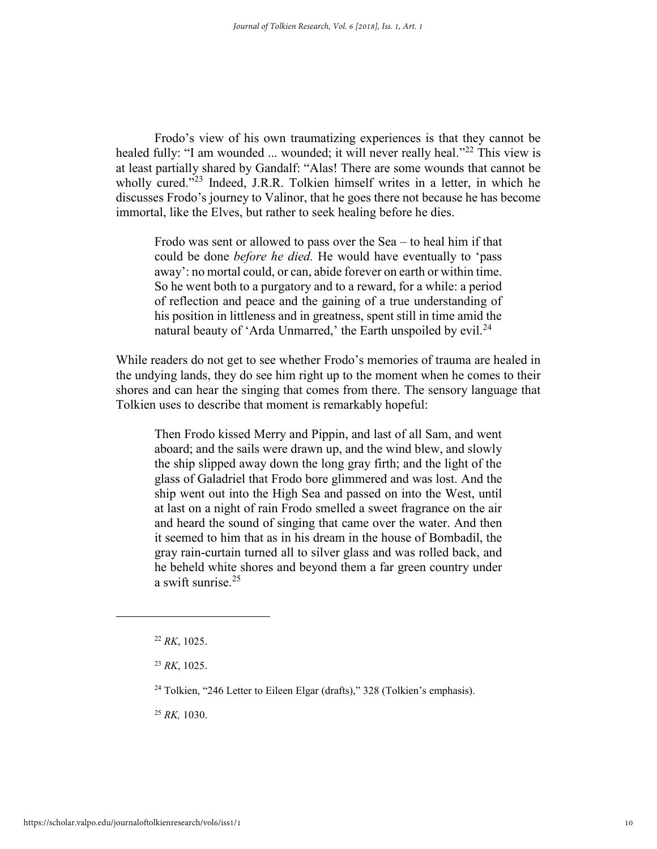Frodo's view of his own traumatizing experiences is that they cannot be healed fully: "I am wounded ... wounded; it will never really heal."<sup>22</sup> This view is at least partially shared by Gandalf: "Alas! There are some wounds that cannot be wholly cured."<sup>23</sup> Indeed, J.R.R. Tolkien himself writes in a letter, in which he discusses Frodo's journey to Valinor, that he goes there not because he has become immortal, like the Elves, but rather to seek healing before he dies.

Frodo was sent or allowed to pass over the Sea – to heal him if that could be done *before he died.* He would have eventually to 'pass away': no mortal could, or can, abide forever on earth or within time. So he went both to a purgatory and to a reward, for a while: a period of reflection and peace and the gaining of a true understanding of his position in littleness and in greatness, spent still in time amid the natural beauty of 'Arda Unmarred,' the Earth unspoiled by evil.<sup>24</sup>

While readers do not get to see whether Frodo's memories of trauma are healed in the undying lands, they do see him right up to the moment when he comes to their shores and can hear the singing that comes from there. The sensory language that Tolkien uses to describe that moment is remarkably hopeful:

Then Frodo kissed Merry and Pippin, and last of all Sam, and went aboard; and the sails were drawn up, and the wind blew, and slowly the ship slipped away down the long gray firth; and the light of the glass of Galadriel that Frodo bore glimmered and was lost. And the ship went out into the High Sea and passed on into the West, until at last on a night of rain Frodo smelled a sweet fragrance on the air and heard the sound of singing that came over the water. And then it seemed to him that as in his dream in the house of Bombadil, the gray rain-curtain turned all to silver glass and was rolled back, and he beheld white shores and beyond them a far green country under a swift sunrise.<sup>25</sup>

<sup>25</sup> *RK,* 1030.

<sup>22</sup> *RK*, 1025.

<sup>23</sup> *RK*, 1025.

 $24$  Tolkien, "246 Letter to Eileen Elgar (drafts)," 328 (Tolkien's emphasis).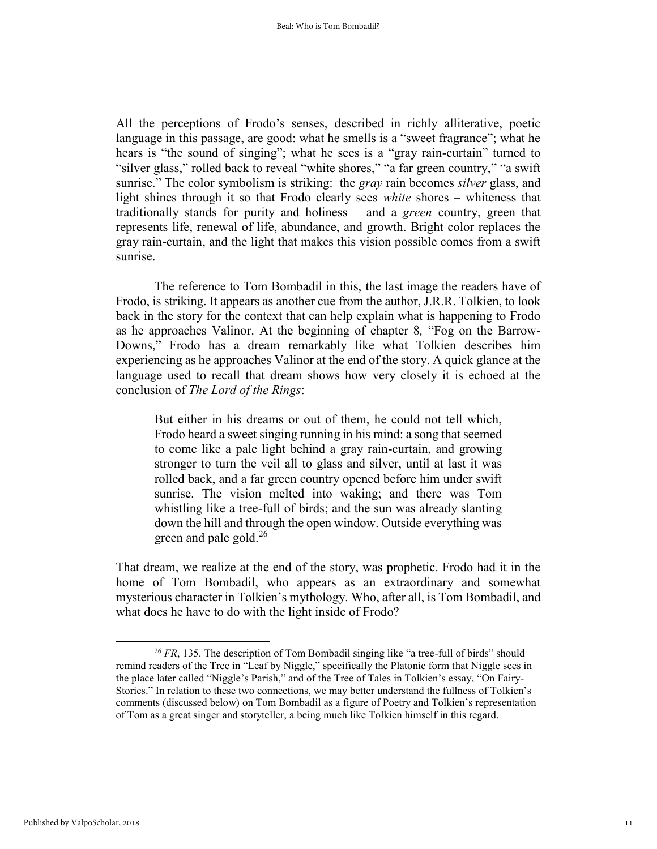All the perceptions of Frodo's senses, described in richly alliterative, poetic language in this passage, are good: what he smells is a "sweet fragrance"; what he hears is "the sound of singing"; what he sees is a "gray rain-curtain" turned to "silver glass," rolled back to reveal "white shores," "a far green country," "a swift sunrise." The color symbolism is striking: the *gray* rain becomes *silver* glass, and light shines through it so that Frodo clearly sees *white* shores – whiteness that traditionally stands for purity and holiness – and a *green* country, green that represents life, renewal of life, abundance, and growth. Bright color replaces the gray rain-curtain, and the light that makes this vision possible comes from a swift sunrise.

The reference to Tom Bombadil in this, the last image the readers have of Frodo, is striking. It appears as another cue from the author, J.R.R. Tolkien, to look back in the story for the context that can help explain what is happening to Frodo as he approaches Valinor. At the beginning of chapter 8*,* "Fog on the Barrow-Downs," Frodo has a dream remarkably like what Tolkien describes him experiencing as he approaches Valinor at the end of the story. A quick glance at the language used to recall that dream shows how very closely it is echoed at the conclusion of *The Lord of the Rings*:

But either in his dreams or out of them, he could not tell which, Frodo heard a sweet singing running in his mind: a song that seemed to come like a pale light behind a gray rain-curtain, and growing stronger to turn the veil all to glass and silver, until at last it was rolled back, and a far green country opened before him under swift sunrise. The vision melted into waking; and there was Tom whistling like a tree-full of birds; and the sun was already slanting down the hill and through the open window. Outside everything was green and pale gold. $26$ 

That dream, we realize at the end of the story, was prophetic. Frodo had it in the home of Tom Bombadil, who appears as an extraordinary and somewhat mysterious character in Tolkien's mythology. Who, after all, is Tom Bombadil, and what does he have to do with the light inside of Frodo?

<sup>&</sup>lt;sup>26</sup> FR, 135. The description of Tom Bombadil singing like "a tree-full of birds" should remind readers of the Tree in "Leaf by Niggle," specifically the Platonic form that Niggle sees in the place later called "Niggle's Parish," and of the Tree of Tales in Tolkien's essay, "On Fairy-Stories." In relation to these two connections, we may better understand the fullness of Tolkien's comments (discussed below) on Tom Bombadil as a figure of Poetry and Tolkien's representation of Tom as a great singer and storyteller, a being much like Tolkien himself in this regard.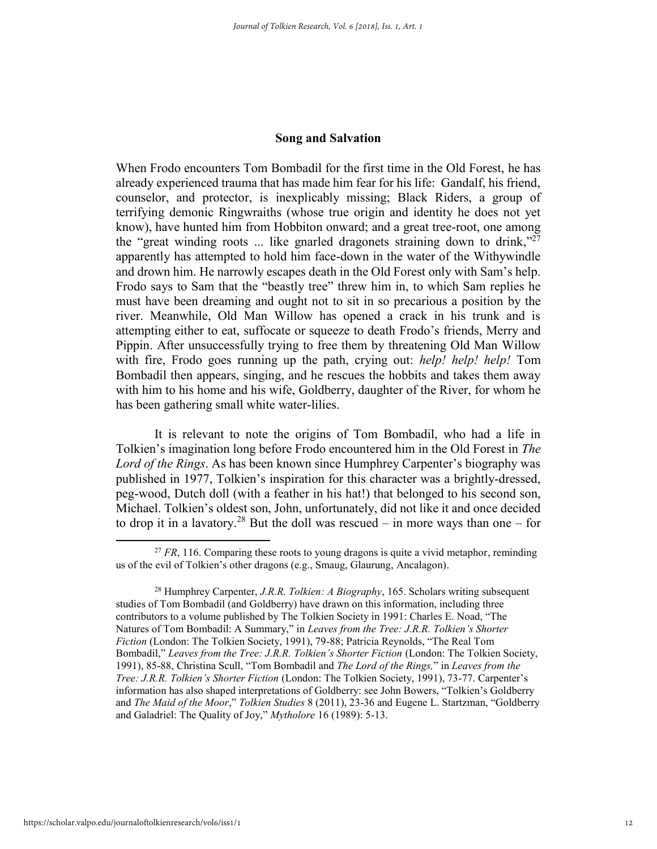### **Song and Salvation**

When Frodo encounters Tom Bombadil for the first time in the Old Forest, he has already experienced trauma that has made him fear for his life: Gandalf, his friend, counselor, and protector, is inexplicably missing; Black Riders, a group of terrifying demonic Ringwraiths (whose true origin and identity he does not yet know), have hunted him from Hobbiton onward; and a great tree-root, one among the "great winding roots ... like gnarled dragonets straining down to drink,"27 apparently has attempted to hold him face-down in the water of the Withywindle and drown him. He narrowly escapes death in the Old Forest only with Sam's help. Frodo says to Sam that the "beastly tree" threw him in, to which Sam replies he must have been dreaming and ought not to sit in so precarious a position by the river. Meanwhile, Old Man Willow has opened a crack in his trunk and is attempting either to eat, suffocate or squeeze to death Frodo's friends, Merry and Pippin. After unsuccessfully trying to free them by threatening Old Man Willow with fire, Frodo goes running up the path, crying out: *help! help! help!* Tom Bombadil then appears, singing, and he rescues the hobbits and takes them away with him to his home and his wife, Goldberry, daughter of the River, for whom he has been gathering small white water-lilies.

It is relevant to note the origins of Tom Bombadil, who had a life in Tolkien's imagination long before Frodo encountered him in the Old Forest in *The Lord of the Rings*. As has been known since Humphrey Carpenter's biography was published in 1977, Tolkien's inspiration for this character was a brightly-dressed, peg-wood, Dutch doll (with a feather in his hat!) that belonged to his second son, Michael. Tolkien's oldest son, John, unfortunately, did not like it and once decided to drop it in a lavatory.<sup>28</sup> But the doll was rescued – in more ways than one – for

<sup>&</sup>lt;sup>27</sup> FR, 116. Comparing these roots to young dragons is quite a vivid metaphor, reminding us of the evil of Tolkien's other dragons (e.g., Smaug, Glaurung, Ancalagon).

<sup>28</sup> Humphrey Carpenter, *J.R.R. Tolkien: A Biography*, 165. Scholars writing subsequent studies of Tom Bombadil (and Goldberry) have drawn on this information, including three contributors to a volume published by The Tolkien Society in 1991: Charles E. Noad, "The Natures of Tom Bombadil: A Summary," in *Leaves from the Tree: J.R.R. Tolkien's Shorter Fiction* (London: The Tolkien Society, 1991), 79-88; Patricia Reynolds, "The Real Tom Bombadil," *Leaves from the Tree: J.R.R. Tolkien's Shorter Fiction* (London: The Tolkien Society, 1991), 85-88, Christina Scull, "Tom Bombadil and *The Lord of the Rings,*" in *Leaves from the Tree: J.R.R. Tolkien's Shorter Fiction* (London: The Tolkien Society, 1991), 73-77. Carpenter's information has also shaped interpretations of Goldberry: see John Bowers, "Tolkien's Goldberry and *The Maid of the Moor*," *Tolkien Studies* 8 (2011), 23-36 and Eugene L. Startzman, "Goldberry and Galadriel: The Quality of Joy," *Mytholore* 16 (1989): 5-13.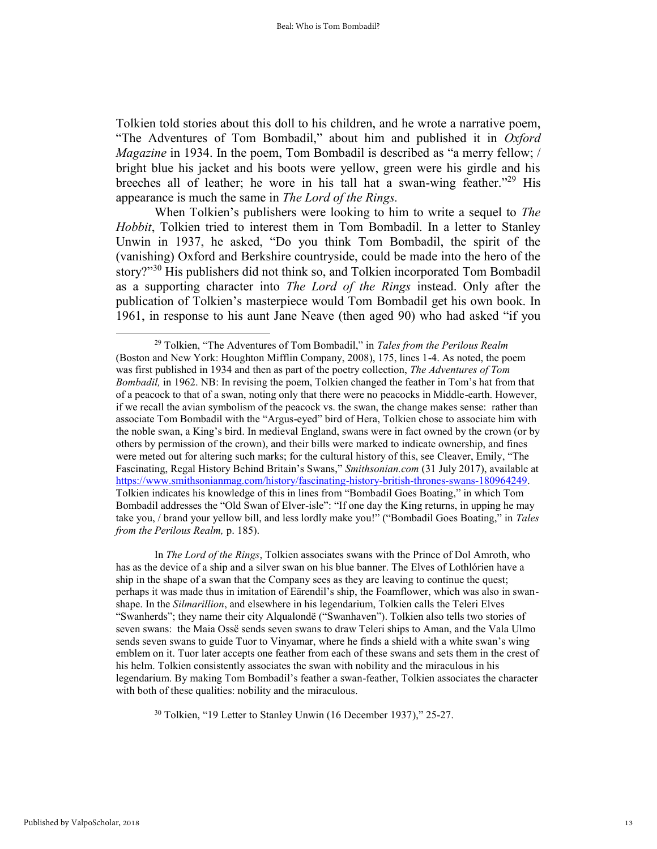Tolkien told stories about this doll to his children, and he wrote a narrative poem, "The Adventures of Tom Bombadil," about him and published it in *Oxford Magazine* in 1934. In the poem, Tom Bombadil is described as "a merry fellow; / bright blue his jacket and his boots were yellow, green were his girdle and his breeches all of leather; he wore in his tall hat a swan-wing feather."<sup>29</sup> His appearance is much the same in *The Lord of the Rings.*

When Tolkien's publishers were looking to him to write a sequel to *The Hobbit*, Tolkien tried to interest them in Tom Bombadil. In a letter to Stanley Unwin in 1937, he asked, "Do you think Tom Bombadil, the spirit of the (vanishing) Oxford and Berkshire countryside, could be made into the hero of the story?"<sup>30</sup> His publishers did not think so, and Tolkien incorporated Tom Bombadil as a supporting character into *The Lord of the Rings* instead. Only after the publication of Tolkien's masterpiece would Tom Bombadil get his own book. In 1961, in response to his aunt Jane Neave (then aged 90) who had asked "if you

In *The Lord of the Rings*, Tolkien associates swans with the Prince of Dol Amroth, who has as the device of a ship and a silver swan on his blue banner. The Elves of Lothlórien have a ship in the shape of a swan that the Company sees as they are leaving to continue the quest; perhaps it was made thus in imitation of Eärendil's ship, the Foamflower, which was also in swanshape. In the *Silmarillion*, and elsewhere in his legendarium, Tolkien calls the Teleri Elves "Swanherds"; they name their city Alqualondë ("Swanhaven"). Tolkien also tells two stories of seven swans: the Maia Ossë sends seven swans to draw Teleri ships to Aman, and the Vala Ulmo sends seven swans to guide Tuor to Vinyamar, where he finds a shield with a white swan's wing emblem on it. Tuor later accepts one feather from each of these swans and sets them in the crest of his helm. Tolkien consistently associates the swan with nobility and the miraculous in his legendarium. By making Tom Bombadil's feather a swan-feather, Tolkien associates the character with both of these qualities: nobility and the miraculous.

<sup>29</sup> Tolkien, "The Adventures of Tom Bombadil," in *Tales from the Perilous Realm*  (Boston and New York: Houghton Mifflin Company, 2008), 175, lines 1-4. As noted, the poem was first published in 1934 and then as part of the poetry collection, *The Adventures of Tom Bombadil,* in 1962. NB: In revising the poem, Tolkien changed the feather in Tom's hat from that of a peacock to that of a swan, noting only that there were no peacocks in Middle-earth. However, if we recall the avian symbolism of the peacock vs. the swan, the change makes sense: rather than associate Tom Bombadil with the "Argus-eyed" bird of Hera, Tolkien chose to associate him with the noble swan, a King's bird. In medieval England, swans were in fact owned by the crown (or by others by permission of the crown), and their bills were marked to indicate ownership, and fines were meted out for altering such marks; for the cultural history of this, see Cleaver, Emily, "The Fascinating, Regal History Behind Britain's Swans," *Smithsonian.com* (31 July 2017), available at [https://www.smithsonianmag.com/history/fascinating-history-british-thrones-swans-180964249.](https://www.smithsonianmag.com/history/fascinating-history-british-thrones-swans-180964249) Tolkien indicates his knowledge of this in lines from "Bombadil Goes Boating," in which Tom Bombadil addresses the "Old Swan of Elver-isle": "If one day the King returns, in upping he may take you, / brand your yellow bill, and less lordly make you!" ("Bombadil Goes Boating," in *Tales from the Perilous Realm,* p. 185).

<sup>30</sup> Tolkien, "19 Letter to Stanley Unwin (16 December 1937)," 25-27.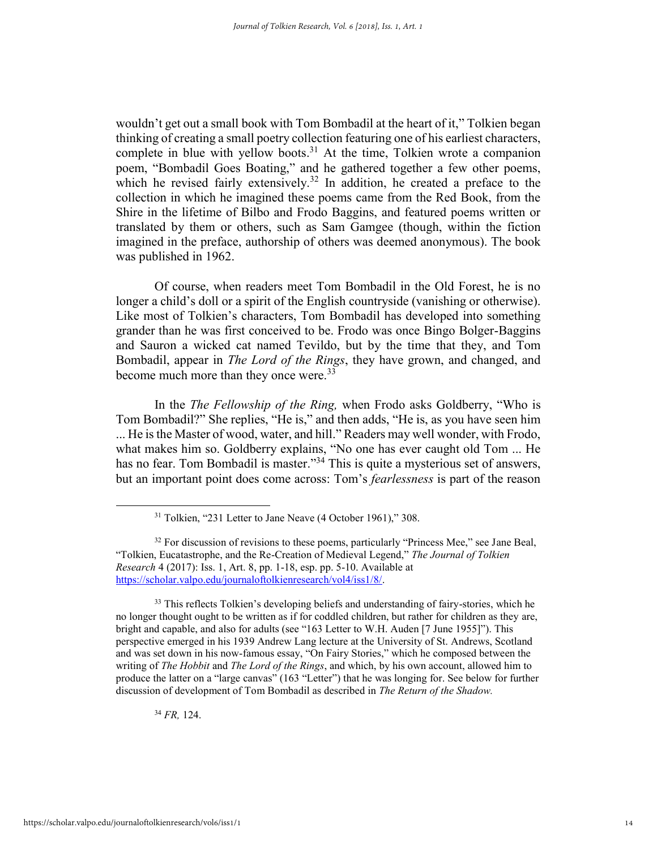wouldn't get out a small book with Tom Bombadil at the heart of it," Tolkien began thinking of creating a small poetry collection featuring one of his earliest characters, complete in blue with yellow boots.<sup>31</sup> At the time, Tolkien wrote a companion poem, "Bombadil Goes Boating," and he gathered together a few other poems, which he revised fairly extensively.<sup>32</sup> In addition, he created a preface to the collection in which he imagined these poems came from the Red Book, from the Shire in the lifetime of Bilbo and Frodo Baggins, and featured poems written or translated by them or others, such as Sam Gamgee (though, within the fiction imagined in the preface, authorship of others was deemed anonymous). The book was published in 1962.

Of course, when readers meet Tom Bombadil in the Old Forest, he is no longer a child's doll or a spirit of the English countryside (vanishing or otherwise). Like most of Tolkien's characters, Tom Bombadil has developed into something grander than he was first conceived to be. Frodo was once Bingo Bolger-Baggins and Sauron a wicked cat named Tevildo, but by the time that they, and Tom Bombadil, appear in *The Lord of the Rings*, they have grown, and changed, and become much more than they once were.<sup>33</sup>

In the *The Fellowship of the Ring,* when Frodo asks Goldberry, "Who is Tom Bombadil?" She replies, "He is," and then adds, "He is, as you have seen him ... He is the Master of wood, water, and hill." Readers may well wonder, with Frodo, what makes him so. Goldberry explains, "No one has ever caught old Tom ... He has no fear. Tom Bombadil is master."<sup>34</sup> This is quite a mysterious set of answers, but an important point does come across: Tom's *fearlessness* is part of the reason

<sup>33</sup> This reflects Tolkien's developing beliefs and understanding of fairy-stories, which he no longer thought ought to be written as if for coddled children, but rather for children as they are, bright and capable, and also for adults (see "163 Letter to W.H. Auden [7 June 1955]"). This perspective emerged in his 1939 Andrew Lang lecture at the University of St. Andrews, Scotland and was set down in his now-famous essay, "On Fairy Stories," which he composed between the writing of *The Hobbit* and *The Lord of the Rings*, and which, by his own account, allowed him to produce the latter on a "large canvas" (163 "Letter") that he was longing for. See below for further discussion of development of Tom Bombadil as described in *The Return of the Shadow.* 

<sup>34</sup> *FR,* 124.

<sup>&</sup>lt;sup>31</sup> Tolkien, "231 Letter to Jane Neave (4 October 1961)," 308.

 $32$  For discussion of revisions to these poems, particularly "Princess Mee," see Jane Beal, "Tolkien, Eucatastrophe, and the Re-Creation of Medieval Legend," *The Journal of Tolkien Research* 4 (2017): Iss. 1, Art. 8, pp. 1-18, esp. pp. 5-10. Available at [https://scholar.valpo.edu/journaloftolkienresearch/vol4/iss1/8/.](https://scholar.valpo.edu/journaloftolkienresearch/vol4/iss1/8/)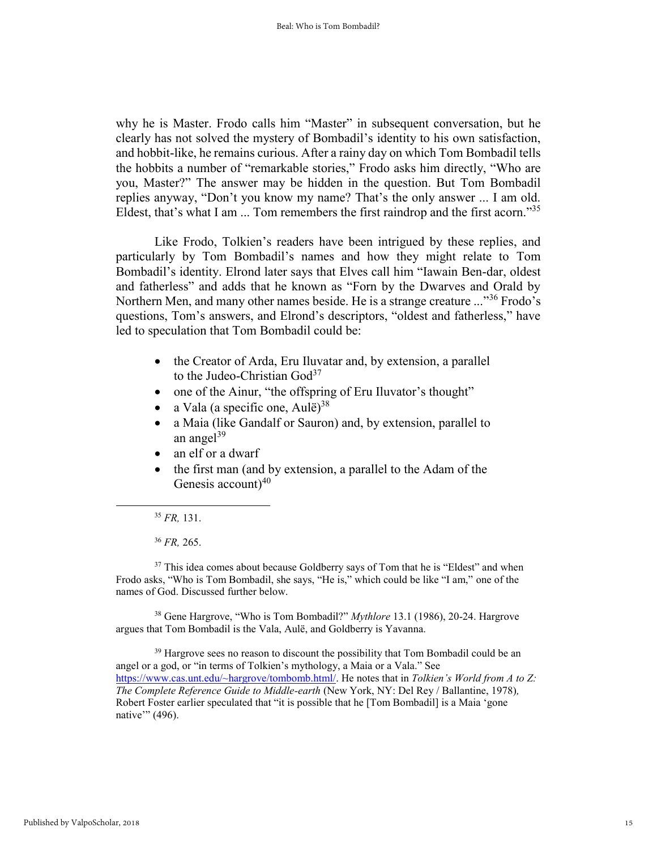why he is Master. Frodo calls him "Master" in subsequent conversation, but he clearly has not solved the mystery of Bombadil's identity to his own satisfaction, and hobbit-like, he remains curious. After a rainy day on which Tom Bombadil tells the hobbits a number of "remarkable stories," Frodo asks him directly, "Who are you, Master?" The answer may be hidden in the question. But Tom Bombadil replies anyway, "Don't you know my name? That's the only answer ... I am old. Eldest, that's what I am ... Tom remembers the first raindrop and the first acorn."<sup>35</sup>

Like Frodo, Tolkien's readers have been intrigued by these replies, and particularly by Tom Bombadil's names and how they might relate to Tom Bombadil's identity. Elrond later says that Elves call him "Iawain Ben-dar, oldest and fatherless" and adds that he known as "Forn by the Dwarves and Orald by Northern Men, and many other names beside. He is a strange creature ..."<sup>36</sup> Frodo's questions, Tom's answers, and Elrond's descriptors, "oldest and fatherless," have led to speculation that Tom Bombadil could be:

- the Creator of Arda, Eru Iluvatar and, by extension, a parallel to the Judeo-Christian God<sup>37</sup>
- one of the Ainur, "the offspring of Eru Iluvator's thought"
- a Vala (a specific one, Aulë)<sup>38</sup>
- a Maia (like Gandalf or Sauron) and, by extension, parallel to an angel $39$
- an elf or a dwarf
- the first man (and by extension, a parallel to the Adam of the Genesis account)<sup>40</sup>

 $\overline{a}$ 

<sup>36</sup> *FR,* 265.

 $37$  This idea comes about because Goldberry says of Tom that he is "Eldest" and when Frodo asks, "Who is Tom Bombadil, she says, "He is," which could be like "I am," one of the names of God. Discussed further below.

<sup>38</sup> Gene Hargrove, "Who is Tom Bombadil?" *Mythlore* 13.1 (1986), 20-24. Hargrove argues that Tom Bombadil is the Vala, Aulë, and Goldberry is Yavanna.

<sup>39</sup> Hargrove sees no reason to discount the possibility that Tom Bombadil could be an angel or a god, or "in terms of Tolkien's mythology, a Maia or a Vala." See [https://www.cas.unt.edu/~hargrove/tombomb.html/.](https://www.cas.unt.edu/~hargrove/tombomb.html/) He notes that in *Tolkien's World from A to Z: The Complete Reference Guide to Middle-earth* (New York, NY: Del Rey / Ballantine, 1978)*,*  Robert Foster earlier speculated that "it is possible that he [Tom Bombadil] is a Maia 'gone native" (496).

<sup>35</sup> *FR,* 131.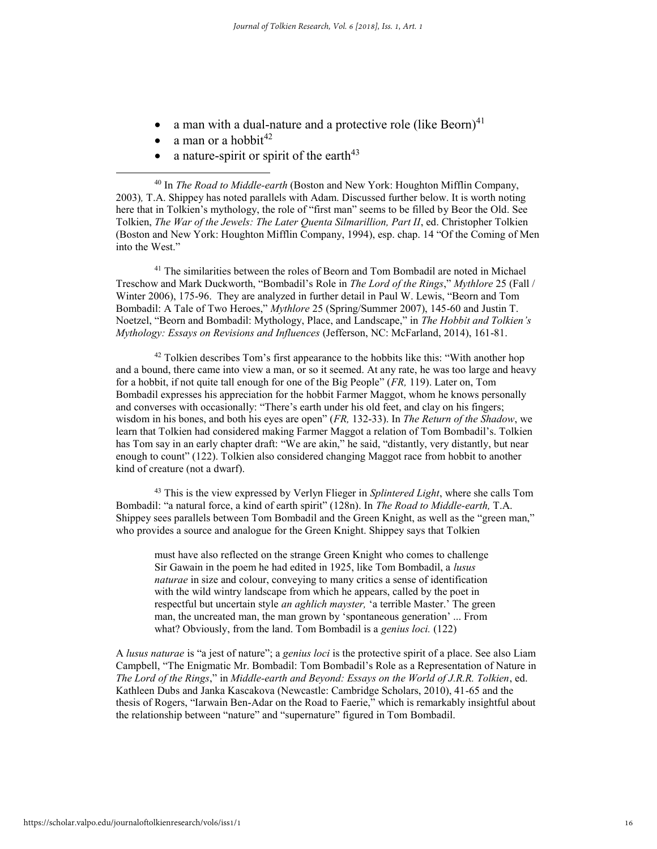- a man with a dual-nature and a protective role (like Beorn)<sup>41</sup>
- a man or a hobbit $42$

 $\overline{a}$ 

a nature-spirit or spirit of the earth $43$ 

<sup>40</sup> In *The Road to Middle-earth* (Boston and New York: Houghton Mifflin Company, 2003)*,* T.A. Shippey has noted parallels with Adam. Discussed further below. It is worth noting here that in Tolkien's mythology, the role of "first man" seems to be filled by Beor the Old. See Tolkien, *The War of the Jewels: The Later Quenta Silmarillion, Part II*, ed. Christopher Tolkien (Boston and New York: Houghton Mifflin Company, 1994), esp. chap. 14 "Of the Coming of Men into the West."

<sup>41</sup> The similarities between the roles of Beorn and Tom Bombadil are noted in Michael Treschow and Mark Duckworth, "Bombadil's Role in *The Lord of the Rings*," *Mythlore* 25 (Fall / Winter 2006), 175-96. They are analyzed in further detail in Paul W. Lewis, "Beorn and Tom Bombadil: A Tale of Two Heroes," *Mythlore* 25 (Spring/Summer 2007), 145-60 and Justin T. Noetzel, "Beorn and Bombadil: Mythology, Place, and Landscape," in *The Hobbit and Tolkien's Mythology: Essays on Revisions and Influences* (Jefferson, NC: McFarland, 2014), 161-81.

 $42$  Tolkien describes Tom's first appearance to the hobbits like this: "With another hop and a bound, there came into view a man, or so it seemed. At any rate, he was too large and heavy for a hobbit, if not quite tall enough for one of the Big People" (*FR,* 119). Later on, Tom Bombadil expresses his appreciation for the hobbit Farmer Maggot, whom he knows personally and converses with occasionally: "There's earth under his old feet, and clay on his fingers; wisdom in his bones, and both his eyes are open" (*FR,* 132-33). In *The Return of the Shadow*, we learn that Tolkien had considered making Farmer Maggot a relation of Tom Bombadil's. Tolkien has Tom say in an early chapter draft: "We are akin," he said, "distantly, very distantly, but near enough to count" (122). Tolkien also considered changing Maggot race from hobbit to another kind of creature (not a dwarf).

<sup>43</sup> This is the view expressed by Verlyn Flieger in *Splintered Light*, where she calls Tom Bombadil: "a natural force, a kind of earth spirit" (128n). In *The Road to Middle-earth,* T.A. Shippey sees parallels between Tom Bombadil and the Green Knight, as well as the "green man," who provides a source and analogue for the Green Knight. Shippey says that Tolkien

must have also reflected on the strange Green Knight who comes to challenge Sir Gawain in the poem he had edited in 1925, like Tom Bombadil, a *lusus naturae* in size and colour, conveying to many critics a sense of identification with the wild wintry landscape from which he appears, called by the poet in respectful but uncertain style *an aghlich mayster,* 'a terrible Master.' The green man, the uncreated man, the man grown by 'spontaneous generation' ... From what? Obviously, from the land. Tom Bombadil is a *genius loci.* (122)

A *lusus naturae* is "a jest of nature"; a *genius loci* is the protective spirit of a place. See also Liam Campbell, "The Enigmatic Mr. Bombadil: Tom Bombadil's Role as a Representation of Nature in *The Lord of the Rings*," in *Middle-earth and Beyond: Essays on the World of J.R.R. Tolkien*, ed. Kathleen Dubs and Janka Kascakova (Newcastle: Cambridge Scholars, 2010), 41-65 and the thesis of Rogers, "Iarwain Ben-Adar on the Road to Faerie," which is remarkably insightful about the relationship between "nature" and "supernature" figured in Tom Bombadil.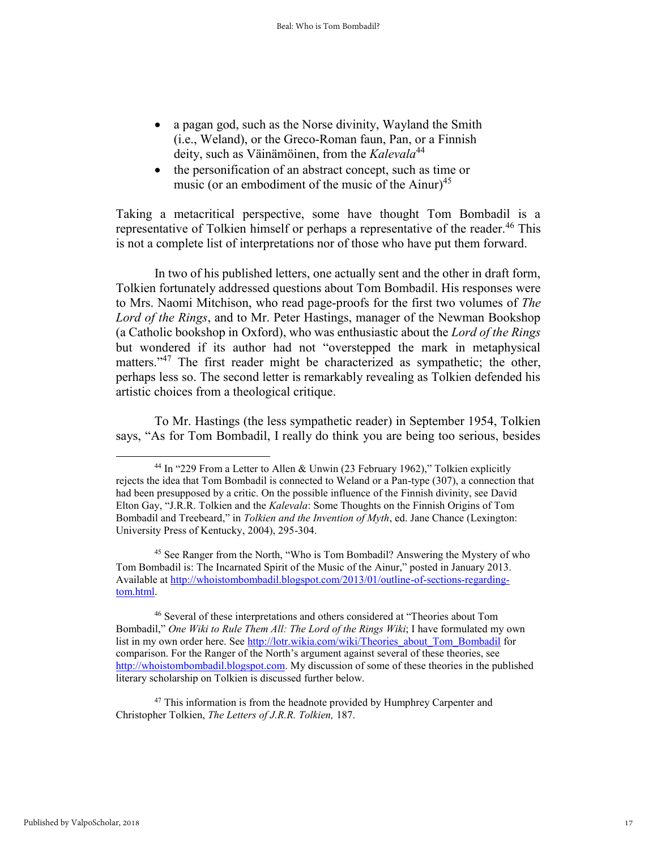- a pagan god, such as the Norse divinity, Wayland the Smith (i.e., Weland), or the Greco-Roman faun, Pan, or a Finnish deity, such as Väinämöinen, from the *Kalevala*<sup>44</sup>
- the personification of an abstract concept, such as time or music (or an embodiment of the music of the Ainur)<sup>45</sup>

Taking a metacritical perspective, some have thought Tom Bombadil is a representative of Tolkien himself or perhaps a representative of the reader.<sup>46</sup> This is not a complete list of interpretations nor of those who have put them forward.

In two of his published letters, one actually sent and the other in draft form, Tolkien fortunately addressed questions about Tom Bombadil. His responses were to Mrs. Naomi Mitchison, who read page-proofs for the first two volumes of *The Lord of the Rings*, and to Mr. Peter Hastings, manager of the Newman Bookshop (a Catholic bookshop in Oxford), who was enthusiastic about the *Lord of the Rings*  but wondered if its author had not "overstepped the mark in metaphysical matters."<sup>47</sup> The first reader might be characterized as sympathetic; the other, perhaps less so. The second letter is remarkably revealing as Tolkien defended his artistic choices from a theological critique.

To Mr. Hastings (the less sympathetic reader) in September 1954, Tolkien says, "As for Tom Bombadil, I really do think you are being too serious, besides

<sup>46</sup> Several of these interpretations and others considered at "Theories about Tom Bombadil," *One Wiki to Rule Them All: The Lord of the Rings Wiki*; I have formulated my own list in my own order here. Se[e http://lotr.wikia.com/wiki/Theories\\_about\\_Tom\\_Bombadil](http://lotr.wikia.com/wiki/Theories_about_Tom_Bombadil) for comparison. For the Ranger of the North's argument against several of these theories, see [http://whoistombombadil.blogspot.com.](http://whoistombombadil.blogspot.com/) My discussion of some of these theories in the published literary scholarship on Tolkien is discussed further below.

 $47$  This information is from the headnote provided by Humphrey Carpenter and Christopher Tolkien, *The Letters of J.R.R. Tolkien,* 187.

<sup>&</sup>lt;sup>44</sup> In "229 From a Letter to Allen & Unwin (23 February 1962)," Tolkien explicitly rejects the idea that Tom Bombadil is connected to Weland or a Pan-type (307), a connection that had been presupposed by a critic. On the possible influence of the Finnish divinity, see David Elton Gay, "J.R.R. Tolkien and the *Kalevala*: Some Thoughts on the Finnish Origins of Tom Bombadil and Treebeard," in *Tolkien and the Invention of Myth*, ed. Jane Chance (Lexington: University Press of Kentucky, 2004), 295-304.

<sup>45</sup> See Ranger from the North, "Who is Tom Bombadil? Answering the Mystery of who Tom Bombadil is: The Incarnated Spirit of the Music of the Ainur," posted in January 2013. Available at [http://whoistombombadil.blogspot.com/2013/01/outline-of-sections-regarding](http://whoistombombadil.blogspot.com/2013/01/outline-of-sections-regarding-tom.html)[tom.html.](http://whoistombombadil.blogspot.com/2013/01/outline-of-sections-regarding-tom.html)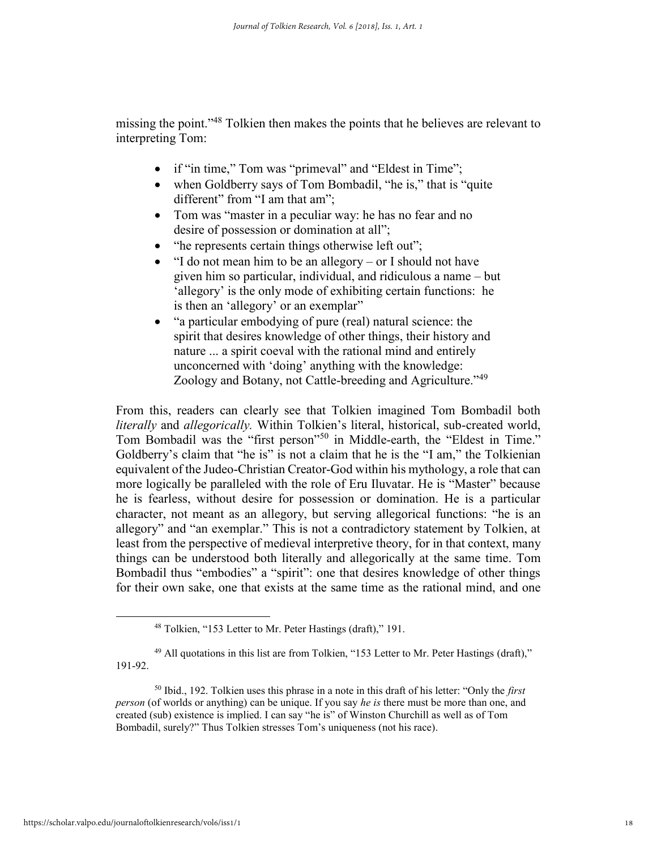missing the point."<sup>48</sup> Tolkien then makes the points that he believes are relevant to interpreting Tom:

- if "in time," Tom was "primeval" and "Eldest in Time";
- when Goldberry says of Tom Bombadil, "he is," that is "quite different" from "I am that am";
- Tom was "master in a peculiar way: he has no fear and no desire of possession or domination at all";
- "he represents certain things otherwise left out";
- "I do not mean him to be an allegory or I should not have given him so particular, individual, and ridiculous a name – but 'allegory' is the only mode of exhibiting certain functions: he is then an 'allegory' or an exemplar"
- "a particular embodying of pure (real) natural science: the spirit that desires knowledge of other things, their history and nature ... a spirit coeval with the rational mind and entirely unconcerned with 'doing' anything with the knowledge: Zoology and Botany, not Cattle-breeding and Agriculture."<sup>49</sup>

From this, readers can clearly see that Tolkien imagined Tom Bombadil both *literally* and *allegorically.* Within Tolkien's literal, historical, sub-created world, Tom Bombadil was the "first person"<sup>50</sup> in Middle-earth, the "Eldest in Time." Goldberry's claim that "he is" is not a claim that he is the "I am," the Tolkienian equivalent of the Judeo-Christian Creator-God within his mythology, a role that can more logically be paralleled with the role of Eru Iluvatar. He is "Master" because he is fearless, without desire for possession or domination. He is a particular character, not meant as an allegory, but serving allegorical functions: "he is an allegory" and "an exemplar." This is not a contradictory statement by Tolkien, at least from the perspective of medieval interpretive theory, for in that context, many things can be understood both literally and allegorically at the same time. Tom Bombadil thus "embodies" a "spirit": one that desires knowledge of other things for their own sake, one that exists at the same time as the rational mind, and one

<sup>48</sup> Tolkien, "153 Letter to Mr. Peter Hastings (draft)," 191.

 $49$  All quotations in this list are from Tolkien, "153 Letter to Mr. Peter Hastings (draft)," 191-92.

<sup>50</sup> Ibid., 192. Tolkien uses this phrase in a note in this draft of his letter: "Only the *first person* (of worlds or anything) can be unique. If you say *he is* there must be more than one, and created (sub) existence is implied. I can say "he is" of Winston Churchill as well as of Tom Bombadil, surely?" Thus Tolkien stresses Tom's uniqueness (not his race).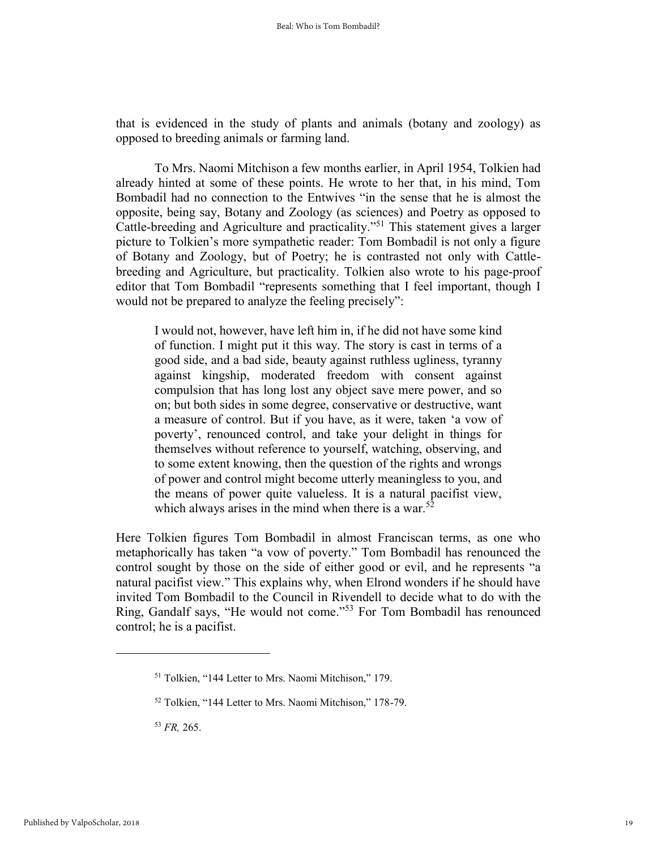that is evidenced in the study of plants and animals (botany and zoology) as opposed to breeding animals or farming land.

To Mrs. Naomi Mitchison a few months earlier, in April 1954, Tolkien had already hinted at some of these points. He wrote to her that, in his mind, Tom Bombadil had no connection to the Entwives "in the sense that he is almost the opposite, being say, Botany and Zoology (as sciences) and Poetry as opposed to Cattle-breeding and Agriculture and practicality."<sup>51</sup> This statement gives a larger picture to Tolkien's more sympathetic reader: Tom Bombadil is not only a figure of Botany and Zoology, but of Poetry; he is contrasted not only with Cattlebreeding and Agriculture, but practicality. Tolkien also wrote to his page-proof editor that Tom Bombadil "represents something that I feel important, though I would not be prepared to analyze the feeling precisely":

I would not, however, have left him in, if he did not have some kind of function. I might put it this way. The story is cast in terms of a good side, and a bad side, beauty against ruthless ugliness, tyranny against kingship, moderated freedom with consent against compulsion that has long lost any object save mere power, and so on; but both sides in some degree, conservative or destructive, want a measure of control. But if you have, as it were, taken 'a vow of poverty', renounced control, and take your delight in things for themselves without reference to yourself, watching, observing, and to some extent knowing, then the question of the rights and wrongs of power and control might become utterly meaningless to you, and the means of power quite valueless. It is a natural pacifist view, which always arises in the mind when there is a war.<sup>52</sup>

Here Tolkien figures Tom Bombadil in almost Franciscan terms, as one who metaphorically has taken "a vow of poverty." Tom Bombadil has renounced the control sought by those on the side of either good or evil, and he represents "a natural pacifist view." This explains why, when Elrond wonders if he should have invited Tom Bombadil to the Council in Rivendell to decide what to do with the Ring, Gandalf says, "He would not come."<sup>53</sup> For Tom Bombadil has renounced control; he is a pacifist.

<sup>51</sup> Tolkien, "144 Letter to Mrs. Naomi Mitchison," 179.

<sup>52</sup> Tolkien, "144 Letter to Mrs. Naomi Mitchison," 178-79.

<sup>53</sup> *FR,* 265.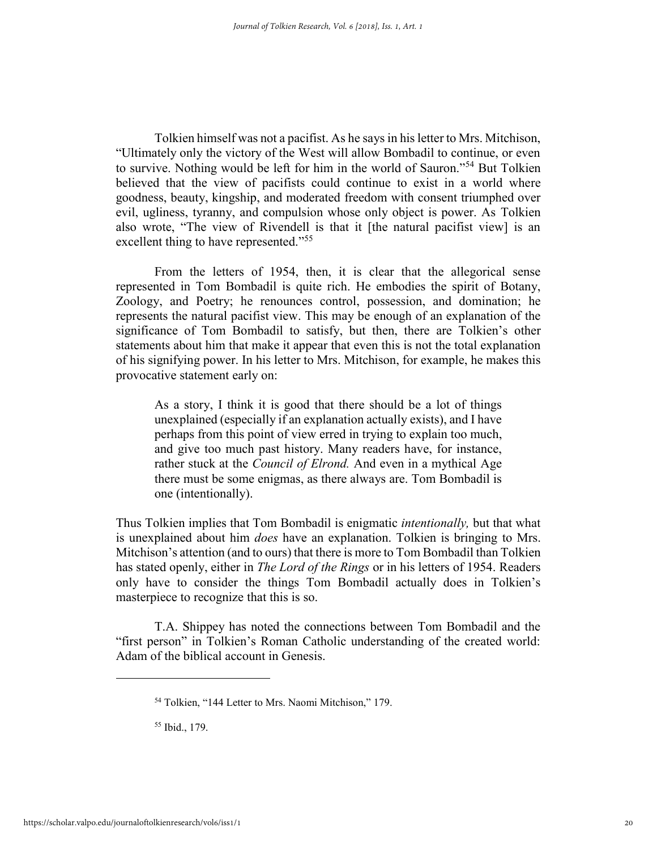Tolkien himself was not a pacifist. As he says in his letter to Mrs. Mitchison, "Ultimately only the victory of the West will allow Bombadil to continue, or even to survive. Nothing would be left for him in the world of Sauron."<sup>54</sup> But Tolkien believed that the view of pacifists could continue to exist in a world where goodness, beauty, kingship, and moderated freedom with consent triumphed over evil, ugliness, tyranny, and compulsion whose only object is power. As Tolkien also wrote, "The view of Rivendell is that it [the natural pacifist view] is an excellent thing to have represented."<sup>55</sup>

From the letters of 1954, then, it is clear that the allegorical sense represented in Tom Bombadil is quite rich. He embodies the spirit of Botany, Zoology, and Poetry; he renounces control, possession, and domination; he represents the natural pacifist view. This may be enough of an explanation of the significance of Tom Bombadil to satisfy, but then, there are Tolkien's other statements about him that make it appear that even this is not the total explanation of his signifying power. In his letter to Mrs. Mitchison, for example, he makes this provocative statement early on:

As a story, I think it is good that there should be a lot of things unexplained (especially if an explanation actually exists), and I have perhaps from this point of view erred in trying to explain too much, and give too much past history. Many readers have, for instance, rather stuck at the *Council of Elrond.* And even in a mythical Age there must be some enigmas, as there always are. Tom Bombadil is one (intentionally).

Thus Tolkien implies that Tom Bombadil is enigmatic *intentionally,* but that what is unexplained about him *does* have an explanation. Tolkien is bringing to Mrs. Mitchison's attention (and to ours) that there is more to Tom Bombadil than Tolkien has stated openly, either in *The Lord of the Rings* or in his letters of 1954. Readers only have to consider the things Tom Bombadil actually does in Tolkien's masterpiece to recognize that this is so.

T.A. Shippey has noted the connections between Tom Bombadil and the "first person" in Tolkien's Roman Catholic understanding of the created world: Adam of the biblical account in Genesis.

<sup>54</sup> Tolkien, "144 Letter to Mrs. Naomi Mitchison," 179.

<sup>55</sup> Ibid., 179.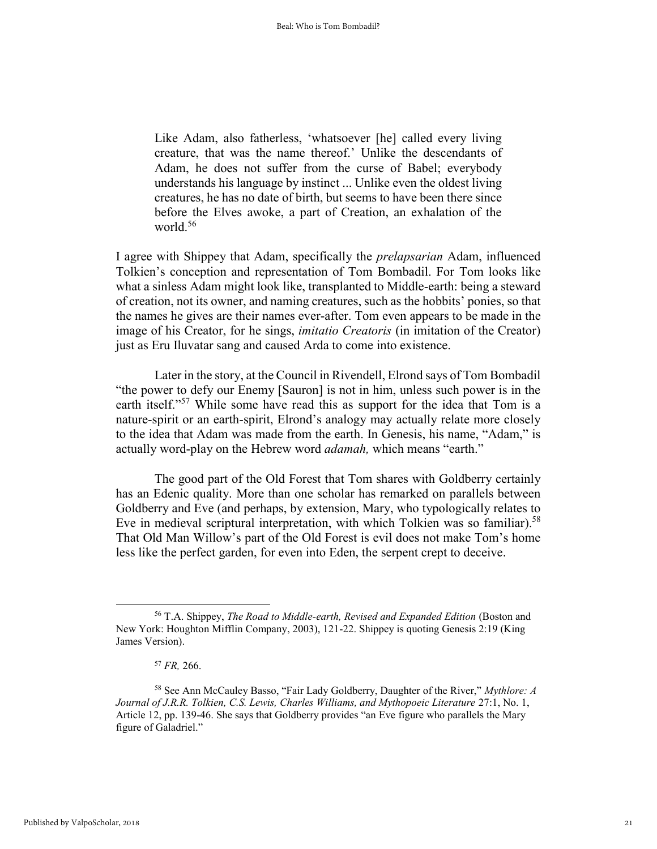Like Adam, also fatherless, 'whatsoever [he] called every living creature, that was the name thereof.' Unlike the descendants of Adam, he does not suffer from the curse of Babel; everybody understands his language by instinct ... Unlike even the oldest living creatures, he has no date of birth, but seems to have been there since before the Elves awoke, a part of Creation, an exhalation of the world.<sup>56</sup>

I agree with Shippey that Adam, specifically the *prelapsarian* Adam, influenced Tolkien's conception and representation of Tom Bombadil. For Tom looks like what a sinless Adam might look like, transplanted to Middle-earth: being a steward of creation, not its owner, and naming creatures, such as the hobbits' ponies, so that the names he gives are their names ever-after. Tom even appears to be made in the image of his Creator, for he sings, *imitatio Creatoris* (in imitation of the Creator) just as Eru Iluvatar sang and caused Arda to come into existence.

Later in the story, at the Council in Rivendell, Elrond says of Tom Bombadil "the power to defy our Enemy [Sauron] is not in him, unless such power is in the earth itself."<sup>57</sup> While some have read this as support for the idea that Tom is a nature-spirit or an earth-spirit, Elrond's analogy may actually relate more closely to the idea that Adam was made from the earth. In Genesis, his name, "Adam," is actually word-play on the Hebrew word *adamah,* which means "earth."

The good part of the Old Forest that Tom shares with Goldberry certainly has an Edenic quality. More than one scholar has remarked on parallels between Goldberry and Eve (and perhaps, by extension, Mary, who typologically relates to Eve in medieval scriptural interpretation, with which Tolkien was so familiar).<sup>58</sup> That Old Man Willow's part of the Old Forest is evil does not make Tom's home less like the perfect garden, for even into Eden, the serpent crept to deceive.

<sup>56</sup> T.A. Shippey, *The Road to Middle-earth, Revised and Expanded Edition* (Boston and New York: Houghton Mifflin Company, 2003), 121-22. Shippey is quoting Genesis 2:19 (King James Version).

<sup>57</sup> *FR,* 266.

<sup>58</sup> See Ann McCauley Basso, "Fair Lady Goldberry, Daughter of the River," *Mythlore: A Journal of J.R.R. Tolkien, C.S. Lewis, Charles Williams, and Mythopoeic Literature* 27:1, No. 1, Article 12, pp. 139-46. She says that Goldberry provides "an Eve figure who parallels the Mary figure of Galadriel."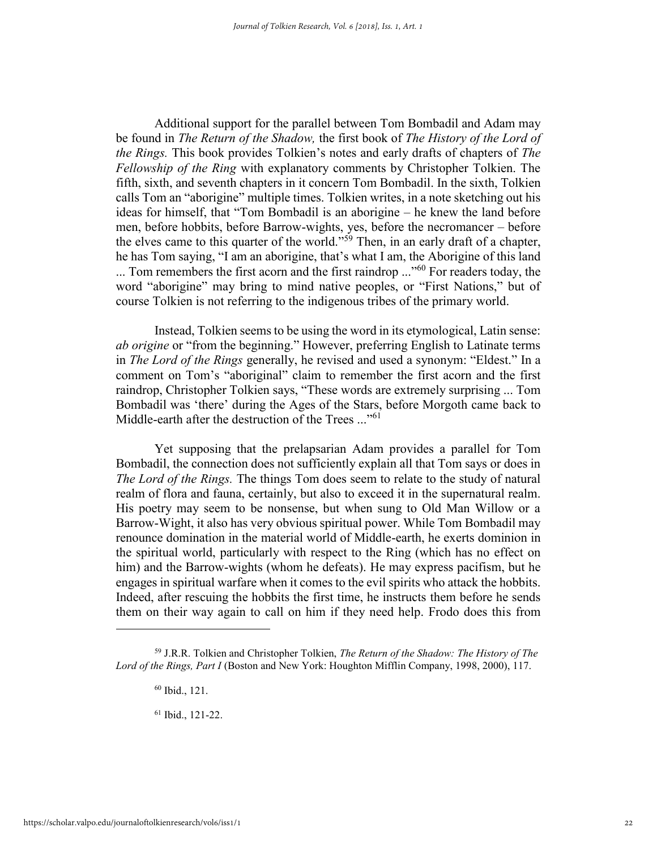Additional support for the parallel between Tom Bombadil and Adam may be found in *The Return of the Shadow,* the first book of *The History of the Lord of the Rings.* This book provides Tolkien's notes and early drafts of chapters of *The Fellowship of the Ring* with explanatory comments by Christopher Tolkien. The fifth, sixth, and seventh chapters in it concern Tom Bombadil. In the sixth, Tolkien calls Tom an "aborigine" multiple times. Tolkien writes, in a note sketching out his ideas for himself, that "Tom Bombadil is an aborigine – he knew the land before men, before hobbits, before Barrow-wights, yes, before the necromancer – before the elves came to this quarter of the world."<sup>59</sup> Then, in an early draft of a chapter, he has Tom saying, "I am an aborigine, that's what I am, the Aborigine of this land ... Tom remembers the first acorn and the first raindrop ..."<sup>60</sup> For readers today, the word "aborigine" may bring to mind native peoples, or "First Nations," but of course Tolkien is not referring to the indigenous tribes of the primary world.

Instead, Tolkien seems to be using the word in its etymological, Latin sense: *ab origine* or "from the beginning." However, preferring English to Latinate terms in *The Lord of the Rings* generally, he revised and used a synonym: "Eldest." In a comment on Tom's "aboriginal" claim to remember the first acorn and the first raindrop, Christopher Tolkien says, "These words are extremely surprising ... Tom Bombadil was 'there' during the Ages of the Stars, before Morgoth came back to Middle-earth after the destruction of the Trees ..."<sup>61</sup>

Yet supposing that the prelapsarian Adam provides a parallel for Tom Bombadil, the connection does not sufficiently explain all that Tom says or does in *The Lord of the Rings.* The things Tom does seem to relate to the study of natural realm of flora and fauna, certainly, but also to exceed it in the supernatural realm. His poetry may seem to be nonsense, but when sung to Old Man Willow or a Barrow-Wight, it also has very obvious spiritual power. While Tom Bombadil may renounce domination in the material world of Middle-earth, he exerts dominion in the spiritual world, particularly with respect to the Ring (which has no effect on him) and the Barrow-wights (whom he defeats). He may express pacifism, but he engages in spiritual warfare when it comes to the evil spirits who attack the hobbits. Indeed, after rescuing the hobbits the first time, he instructs them before he sends them on their way again to call on him if they need help. Frodo does this from

<sup>61</sup> Ibid., 121-22.

<sup>59</sup> J.R.R. Tolkien and Christopher Tolkien, *The Return of the Shadow: The History of The Lord of the Rings, Part I* (Boston and New York: Houghton Mifflin Company, 1998, 2000), 117.

<sup>60</sup> Ibid., 121.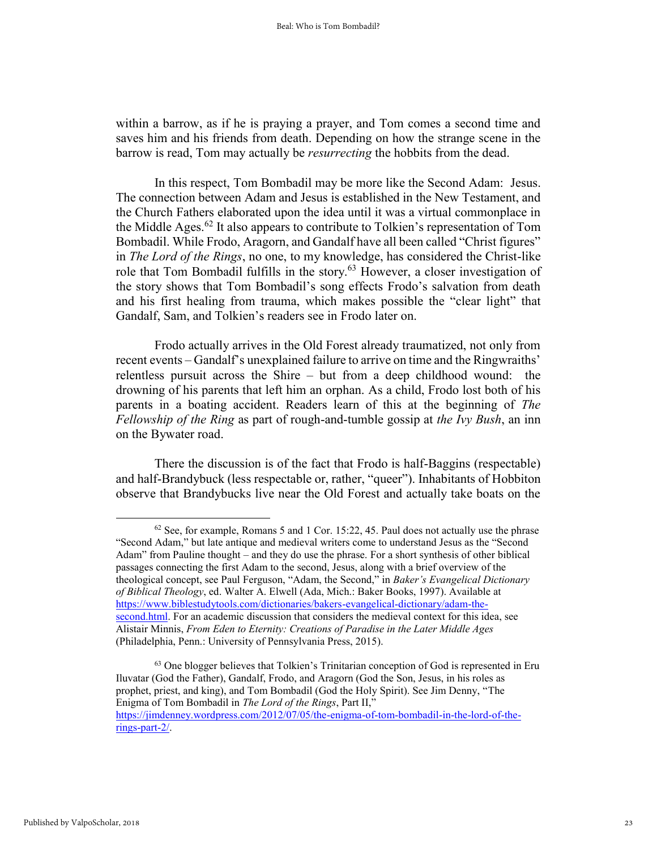within a barrow, as if he is praying a prayer, and Tom comes a second time and saves him and his friends from death. Depending on how the strange scene in the barrow is read, Tom may actually be *resurrecting* the hobbits from the dead.

In this respect, Tom Bombadil may be more like the Second Adam: Jesus. The connection between Adam and Jesus is established in the New Testament, and the Church Fathers elaborated upon the idea until it was a virtual commonplace in the Middle Ages.<sup>62</sup> It also appears to contribute to Tolkien's representation of Tom Bombadil. While Frodo, Aragorn, and Gandalf have all been called "Christ figures" in *The Lord of the Rings*, no one, to my knowledge, has considered the Christ-like role that Tom Bombadil fulfills in the story.<sup>63</sup> However, a closer investigation of the story shows that Tom Bombadil's song effects Frodo's salvation from death and his first healing from trauma, which makes possible the "clear light" that Gandalf, Sam, and Tolkien's readers see in Frodo later on.

Frodo actually arrives in the Old Forest already traumatized, not only from recent events – Gandalf's unexplained failure to arrive on time and the Ringwraiths' relentless pursuit across the Shire – but from a deep childhood wound: the drowning of his parents that left him an orphan. As a child, Frodo lost both of his parents in a boating accident. Readers learn of this at the beginning of *The Fellowship of the Ring* as part of rough-and-tumble gossip at *the Ivy Bush*, an inn on the Bywater road.

There the discussion is of the fact that Frodo is half-Baggins (respectable) and half-Brandybuck (less respectable or, rather, "queer"). Inhabitants of Hobbiton observe that Brandybucks live near the Old Forest and actually take boats on the

<sup>62</sup> See, for example, Romans 5 and 1 Cor. 15:22, 45. Paul does not actually use the phrase "Second Adam," but late antique and medieval writers come to understand Jesus as the "Second Adam" from Pauline thought – and they do use the phrase. For a short synthesis of other biblical passages connecting the first Adam to the second, Jesus, along with a brief overview of the theological concept, see Paul Ferguson, "Adam, the Second," in *Baker's Evangelical Dictionary of Biblical Theology*, ed. Walter A. Elwell (Ada, Mich.: Baker Books, 1997). Available at [https://www.biblestudytools.com/dictionaries/bakers-evangelical-dictionary/adam-the](https://www.biblestudytools.com/dictionaries/bakers-evangelical-dictionary/adam-the-second.html)[second.html.](https://www.biblestudytools.com/dictionaries/bakers-evangelical-dictionary/adam-the-second.html) For an academic discussion that considers the medieval context for this idea, see Alistair Minnis, *From Eden to Eternity: Creations of Paradise in the Later Middle Ages*  (Philadelphia, Penn.: University of Pennsylvania Press, 2015).

<sup>&</sup>lt;sup>63</sup> One blogger believes that Tolkien's Trinitarian conception of God is represented in Eru Iluvatar (God the Father), Gandalf, Frodo, and Aragorn (God the Son, Jesus, in his roles as prophet, priest, and king), and Tom Bombadil (God the Holy Spirit). See Jim Denny, "The Enigma of Tom Bombadil in *The Lord of the Rings*, Part II," [https://jimdenney.wordpress.com/2012/07/05/the-enigma-of-tom-bombadil-in-the-lord-of-the](https://jimdenney.wordpress.com/2012/07/05/the-enigma-of-tom-bombadil-in-the-lord-of-the-rings-part-2/)[rings-part-2/.](https://jimdenney.wordpress.com/2012/07/05/the-enigma-of-tom-bombadil-in-the-lord-of-the-rings-part-2/)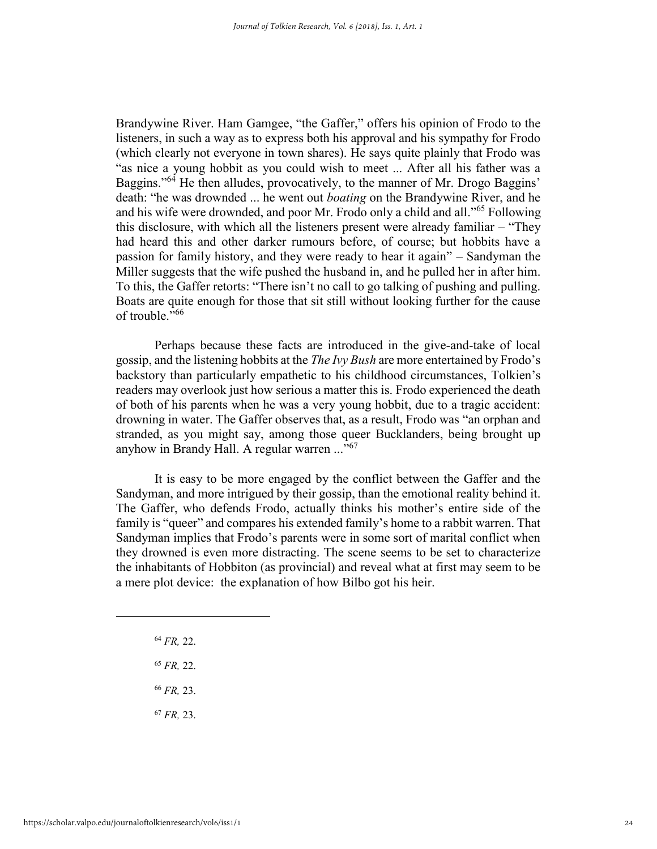Brandywine River. Ham Gamgee, "the Gaffer," offers his opinion of Frodo to the listeners, in such a way as to express both his approval and his sympathy for Frodo (which clearly not everyone in town shares). He says quite plainly that Frodo was "as nice a young hobbit as you could wish to meet ... After all his father was a Baggins."<sup>64</sup> He then alludes, provocatively, to the manner of Mr. Drogo Baggins' death: "he was drownded ... he went out *boating* on the Brandywine River, and he and his wife were drownded, and poor Mr. Frodo only a child and all."<sup>65</sup> Following this disclosure, with which all the listeners present were already familiar – "They had heard this and other darker rumours before, of course; but hobbits have a passion for family history, and they were ready to hear it again" – Sandyman the Miller suggests that the wife pushed the husband in, and he pulled her in after him. To this, the Gaffer retorts: "There isn't no call to go talking of pushing and pulling. Boats are quite enough for those that sit still without looking further for the cause of trouble." 66

Perhaps because these facts are introduced in the give-and-take of local gossip, and the listening hobbits at the *The Ivy Bush* are more entertained by Frodo's backstory than particularly empathetic to his childhood circumstances, Tolkien's readers may overlook just how serious a matter this is. Frodo experienced the death of both of his parents when he was a very young hobbit, due to a tragic accident: drowning in water. The Gaffer observes that, as a result, Frodo was "an orphan and stranded, as you might say, among those queer Bucklanders, being brought up anyhow in Brandy Hall. A regular warren ..."<sup>67</sup>

It is easy to be more engaged by the conflict between the Gaffer and the Sandyman, and more intrigued by their gossip, than the emotional reality behind it. The Gaffer, who defends Frodo, actually thinks his mother's entire side of the family is "queer" and compares his extended family's home to a rabbit warren. That Sandyman implies that Frodo's parents were in some sort of marital conflict when they drowned is even more distracting. The scene seems to be set to characterize the inhabitants of Hobbiton (as provincial) and reveal what at first may seem to be a mere plot device: the explanation of how Bilbo got his heir.

- <sup>64</sup> *FR,* 22.
- <sup>65</sup> *FR,* 22.
- <sup>66</sup> *FR,* 23.
- <sup>67</sup> *FR,* 23.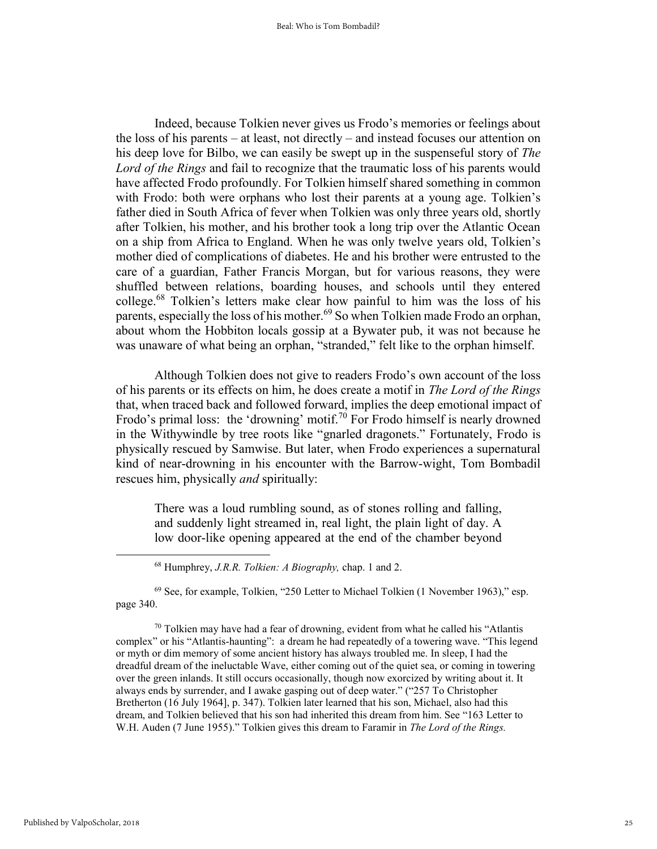Indeed, because Tolkien never gives us Frodo's memories or feelings about the loss of his parents – at least, not directly – and instead focuses our attention on his deep love for Bilbo, we can easily be swept up in the suspenseful story of *The Lord of the Rings* and fail to recognize that the traumatic loss of his parents would have affected Frodo profoundly. For Tolkien himself shared something in common with Frodo: both were orphans who lost their parents at a young age. Tolkien's father died in South Africa of fever when Tolkien was only three years old, shortly after Tolkien, his mother, and his brother took a long trip over the Atlantic Ocean on a ship from Africa to England. When he was only twelve years old, Tolkien's mother died of complications of diabetes. He and his brother were entrusted to the care of a guardian, Father Francis Morgan, but for various reasons, they were shuffled between relations, boarding houses, and schools until they entered college.<sup>68</sup> Tolkien's letters make clear how painful to him was the loss of his parents, especially the loss of his mother.<sup>69</sup> So when Tolkien made Frodo an orphan, about whom the Hobbiton locals gossip at a Bywater pub, it was not because he was unaware of what being an orphan, "stranded," felt like to the orphan himself.

Although Tolkien does not give to readers Frodo's own account of the loss of his parents or its effects on him, he does create a motif in *The Lord of the Rings*  that, when traced back and followed forward, implies the deep emotional impact of Frodo's primal loss: the 'drowning' motif.<sup>70</sup> For Frodo himself is nearly drowned in the Withywindle by tree roots like "gnarled dragonets." Fortunately, Frodo is physically rescued by Samwise. But later, when Frodo experiences a supernatural kind of near-drowning in his encounter with the Barrow-wight, Tom Bombadil rescues him, physically *and* spiritually:

There was a loud rumbling sound, as of stones rolling and falling, and suddenly light streamed in, real light, the plain light of day. A low door-like opening appeared at the end of the chamber beyond

 $69$  See, for example, Tolkien, "250 Letter to Michael Tolkien (1 November 1963)," esp. page 340.

 $70$  Tolkien may have had a fear of drowning, evident from what he called his "Atlantis" complex" or his "Atlantis-haunting": a dream he had repeatedly of a towering wave. "This legend or myth or dim memory of some ancient history has always troubled me. In sleep, I had the dreadful dream of the ineluctable Wave, either coming out of the quiet sea, or coming in towering over the green inlands. It still occurs occasionally, though now exorcized by writing about it. It always ends by surrender, and I awake gasping out of deep water." ("257 To Christopher Bretherton (16 July 1964], p. 347). Tolkien later learned that his son, Michael, also had this dream, and Tolkien believed that his son had inherited this dream from him. See "163 Letter to W.H. Auden (7 June 1955)." Tolkien gives this dream to Faramir in *The Lord of the Rings.* 

<sup>68</sup> Humphrey, *J.R.R. Tolkien: A Biography,* chap. 1 and 2.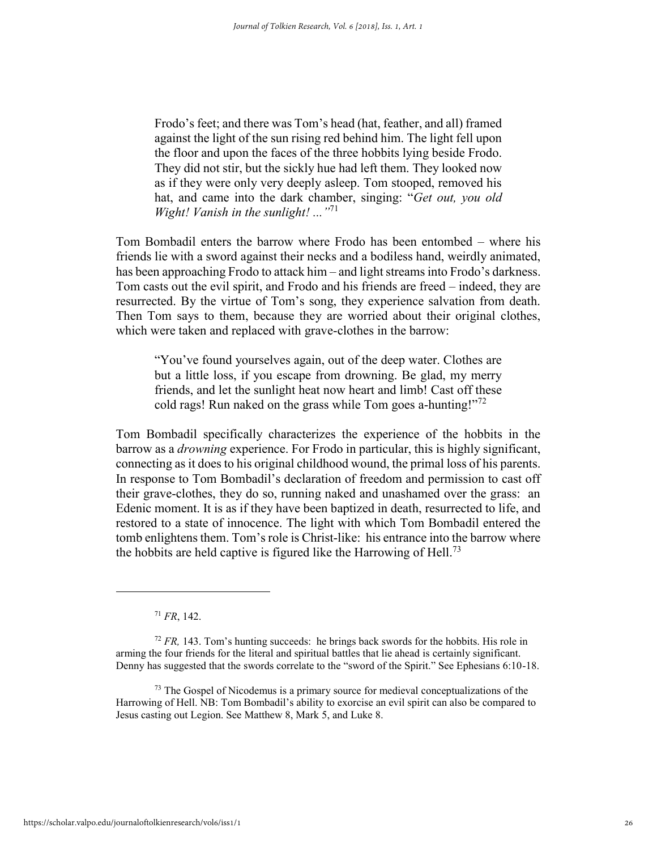Frodo's feet; and there was Tom's head (hat, feather, and all) framed against the light of the sun rising red behind him. The light fell upon the floor and upon the faces of the three hobbits lying beside Frodo. They did not stir, but the sickly hue had left them. They looked now as if they were only very deeply asleep. Tom stooped, removed his hat, and came into the dark chamber, singing: "*Get out, you old Wight! Vanish in the sunlight! ..."*<sup>71</sup>

Tom Bombadil enters the barrow where Frodo has been entombed – where his friends lie with a sword against their necks and a bodiless hand, weirdly animated, has been approaching Frodo to attack him – and light streams into Frodo's darkness. Tom casts out the evil spirit, and Frodo and his friends are freed – indeed, they are resurrected. By the virtue of Tom's song, they experience salvation from death. Then Tom says to them, because they are worried about their original clothes, which were taken and replaced with grave-clothes in the barrow:

"You've found yourselves again, out of the deep water. Clothes are but a little loss, if you escape from drowning. Be glad, my merry friends, and let the sunlight heat now heart and limb! Cast off these cold rags! Run naked on the grass while Tom goes a-hunting!"<sup>72</sup>

Tom Bombadil specifically characterizes the experience of the hobbits in the barrow as a *drowning* experience. For Frodo in particular, this is highly significant, connecting as it does to his original childhood wound, the primal loss of his parents. In response to Tom Bombadil's declaration of freedom and permission to cast off their grave-clothes, they do so, running naked and unashamed over the grass: an Edenic moment. It is as if they have been baptized in death, resurrected to life, and restored to a state of innocence. The light with which Tom Bombadil entered the tomb enlightens them. Tom's role is Christ-like: his entrance into the barrow where the hobbits are held captive is figured like the Harrowing of Hell.<sup>73</sup>

<sup>71</sup> *FR*, 142.

<sup>72</sup> *FR,* 143. Tom's hunting succeeds: he brings back swords for the hobbits. His role in arming the four friends for the literal and spiritual battles that lie ahead is certainly significant. Denny has suggested that the swords correlate to the "sword of the Spirit." See Ephesians 6:10-18.

 $73$  The Gospel of Nicodemus is a primary source for medieval conceptualizations of the Harrowing of Hell. NB: Tom Bombadil's ability to exorcise an evil spirit can also be compared to Jesus casting out Legion. See Matthew 8, Mark 5, and Luke 8.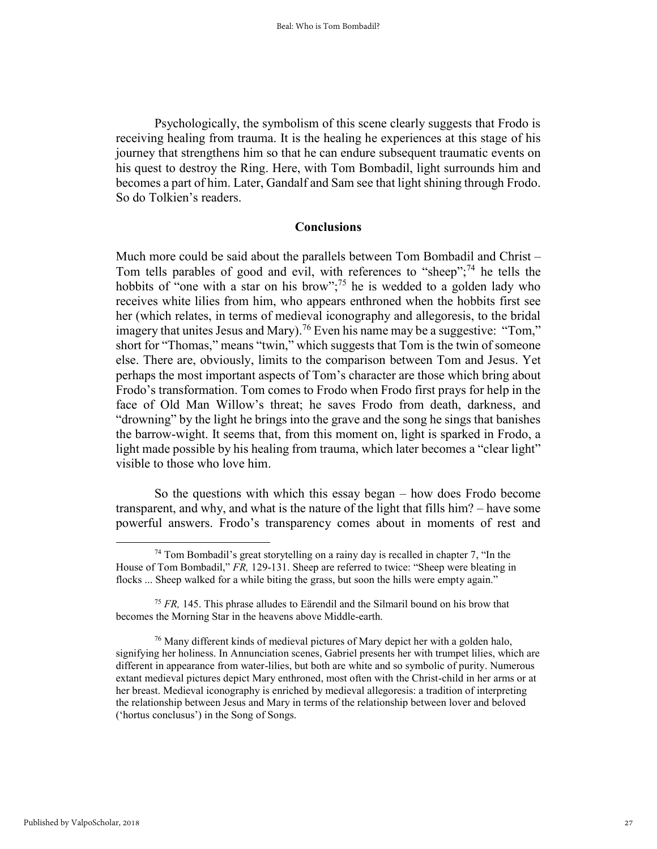Psychologically, the symbolism of this scene clearly suggests that Frodo is receiving healing from trauma. It is the healing he experiences at this stage of his journey that strengthens him so that he can endure subsequent traumatic events on his quest to destroy the Ring. Here, with Tom Bombadil, light surrounds him and becomes a part of him. Later, Gandalf and Sam see that light shining through Frodo. So do Tolkien's readers.

## **Conclusions**

Much more could be said about the parallels between Tom Bombadil and Christ – Tom tells parables of good and evil, with references to "sheep";  $74$  he tells the hobbits of "one with a star on his brow";<sup>75</sup> he is wedded to a golden lady who receives white lilies from him, who appears enthroned when the hobbits first see her (which relates, in terms of medieval iconography and allegoresis, to the bridal imagery that unites Jesus and Mary).<sup>76</sup> Even his name may be a suggestive: "Tom," short for "Thomas," means "twin," which suggests that Tom is the twin of someone else. There are, obviously, limits to the comparison between Tom and Jesus. Yet perhaps the most important aspects of Tom's character are those which bring about Frodo's transformation. Tom comes to Frodo when Frodo first prays for help in the face of Old Man Willow's threat; he saves Frodo from death, darkness, and "drowning" by the light he brings into the grave and the song he sings that banishes the barrow-wight. It seems that, from this moment on, light is sparked in Frodo, a light made possible by his healing from trauma, which later becomes a "clear light" visible to those who love him.

So the questions with which this essay began – how does Frodo become transparent, and why, and what is the nature of the light that fills him? – have some powerful answers. Frodo's transparency comes about in moments of rest and

 $74$  Tom Bombadil's great storytelling on a rainy day is recalled in chapter 7, "In the House of Tom Bombadil," *FR,* 129-131. Sheep are referred to twice: "Sheep were bleating in flocks ... Sheep walked for a while biting the grass, but soon the hills were empty again."

<sup>75</sup> *FR,* 145. This phrase alludes to Eärendil and the Silmaril bound on his brow that becomes the Morning Star in the heavens above Middle-earth.

<sup>76</sup> Many different kinds of medieval pictures of Mary depict her with a golden halo, signifying her holiness. In Annunciation scenes, Gabriel presents her with trumpet lilies, which are different in appearance from water-lilies, but both are white and so symbolic of purity. Numerous extant medieval pictures depict Mary enthroned, most often with the Christ-child in her arms or at her breast. Medieval iconography is enriched by medieval allegoresis: a tradition of interpreting the relationship between Jesus and Mary in terms of the relationship between lover and beloved ('hortus conclusus') in the Song of Songs.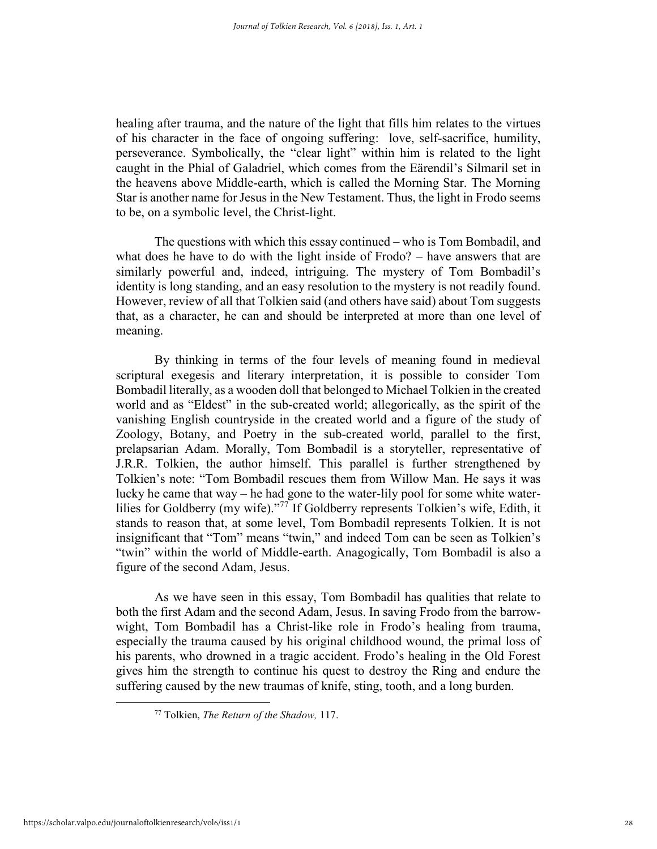healing after trauma, and the nature of the light that fills him relates to the virtues of his character in the face of ongoing suffering: love, self-sacrifice, humility, perseverance. Symbolically, the "clear light" within him is related to the light caught in the Phial of Galadriel, which comes from the Eärendil's Silmaril set in the heavens above Middle-earth, which is called the Morning Star. The Morning Star is another name for Jesus in the New Testament. Thus, the light in Frodo seems to be, on a symbolic level, the Christ-light.

The questions with which this essay continued – who is Tom Bombadil, and what does he have to do with the light inside of Frodo? – have answers that are similarly powerful and, indeed, intriguing. The mystery of Tom Bombadil's identity is long standing, and an easy resolution to the mystery is not readily found. However, review of all that Tolkien said (and others have said) about Tom suggests that, as a character, he can and should be interpreted at more than one level of meaning.

By thinking in terms of the four levels of meaning found in medieval scriptural exegesis and literary interpretation, it is possible to consider Tom Bombadil literally, as a wooden doll that belonged to Michael Tolkien in the created world and as "Eldest" in the sub-created world; allegorically, as the spirit of the vanishing English countryside in the created world and a figure of the study of Zoology, Botany, and Poetry in the sub-created world, parallel to the first, prelapsarian Adam. Morally, Tom Bombadil is a storyteller, representative of J.R.R. Tolkien, the author himself. This parallel is further strengthened by Tolkien's note: "Tom Bombadil rescues them from Willow Man. He says it was lucky he came that way – he had gone to the water-lily pool for some white waterlilies for Goldberry (my wife)."<sup>77</sup> If Goldberry represents Tolkien's wife, Edith, it stands to reason that, at some level, Tom Bombadil represents Tolkien. It is not insignificant that "Tom" means "twin," and indeed Tom can be seen as Tolkien's "twin" within the world of Middle-earth. Anagogically, Tom Bombadil is also a figure of the second Adam, Jesus.

As we have seen in this essay, Tom Bombadil has qualities that relate to both the first Adam and the second Adam, Jesus. In saving Frodo from the barrowwight, Tom Bombadil has a Christ-like role in Frodo's healing from trauma, especially the trauma caused by his original childhood wound, the primal loss of his parents, who drowned in a tragic accident. Frodo's healing in the Old Forest gives him the strength to continue his quest to destroy the Ring and endure the suffering caused by the new traumas of knife, sting, tooth, and a long burden.

<sup>77</sup> Tolkien, *The Return of the Shadow,* 117.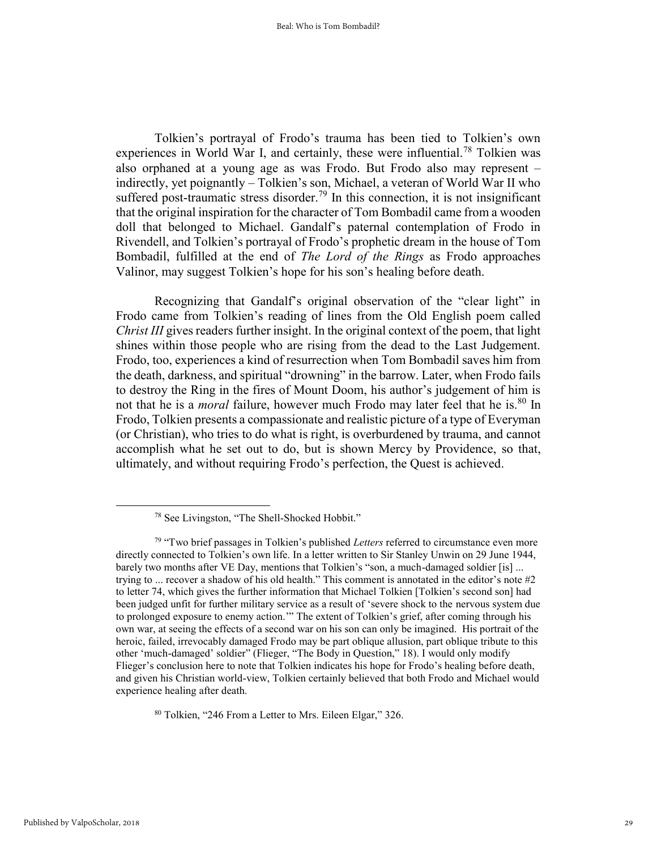Tolkien's portrayal of Frodo's trauma has been tied to Tolkien's own experiences in World War I, and certainly, these were influential.<sup>78</sup> Tolkien was also orphaned at a young age as was Frodo. But Frodo also may represent – indirectly, yet poignantly – Tolkien's son, Michael, a veteran of World War II who suffered post-traumatic stress disorder.<sup>79</sup> In this connection, it is not insignificant that the original inspiration for the character of Tom Bombadil came from a wooden doll that belonged to Michael. Gandalf's paternal contemplation of Frodo in Rivendell, and Tolkien's portrayal of Frodo's prophetic dream in the house of Tom Bombadil, fulfilled at the end of *The Lord of the Rings* as Frodo approaches Valinor, may suggest Tolkien's hope for his son's healing before death.

Recognizing that Gandalf's original observation of the "clear light" in Frodo came from Tolkien's reading of lines from the Old English poem called *Christ III* gives readers further insight. In the original context of the poem, that light shines within those people who are rising from the dead to the Last Judgement. Frodo, too, experiences a kind of resurrection when Tom Bombadil saves him from the death, darkness, and spiritual "drowning" in the barrow. Later, when Frodo fails to destroy the Ring in the fires of Mount Doom, his author's judgement of him is not that he is a *moral* failure, however much Frodo may later feel that he is.<sup>80</sup> In Frodo, Tolkien presents a compassionate and realistic picture of a type of Everyman (or Christian), who tries to do what is right, is overburdened by trauma, and cannot accomplish what he set out to do, but is shown Mercy by Providence, so that, ultimately, and without requiring Frodo's perfection, the Quest is achieved.

<sup>80</sup> Tolkien, "246 From a Letter to Mrs. Eileen Elgar," 326.

<sup>78</sup> See Livingston, "The Shell-Shocked Hobbit."

<sup>79</sup> "Two brief passages in Tolkien's published *Letters* referred to circumstance even more directly connected to Tolkien's own life. In a letter written to Sir Stanley Unwin on 29 June 1944, barely two months after VE Day, mentions that Tolkien's "son, a much-damaged soldier [is] ... trying to ... recover a shadow of his old health." This comment is annotated in the editor's note #2 to letter 74, which gives the further information that Michael Tolkien [Tolkien's second son] had been judged unfit for further military service as a result of 'severe shock to the nervous system due to prolonged exposure to enemy action.'" The extent of Tolkien's grief, after coming through his own war, at seeing the effects of a second war on his son can only be imagined. His portrait of the heroic, failed, irrevocably damaged Frodo may be part oblique allusion, part oblique tribute to this other 'much-damaged' soldier" (Flieger, "The Body in Question," 18). I would only modify Flieger's conclusion here to note that Tolkien indicates his hope for Frodo's healing before death, and given his Christian world-view, Tolkien certainly believed that both Frodo and Michael would experience healing after death.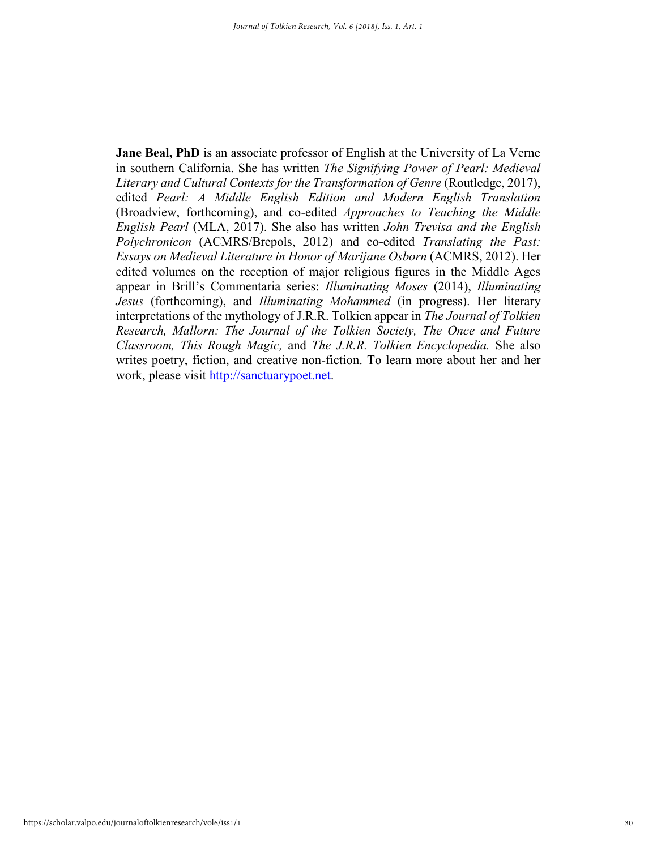**Jane Beal, PhD** is an associate professor of English at the University of La Verne in southern California. She has written *The Signifying Power of Pearl: Medieval Literary and Cultural Contexts for the Transformation of Genre* (Routledge, 2017), edited *Pearl: A Middle English Edition and Modern English Translation*  (Broadview, forthcoming), and co-edited *Approaches to Teaching the Middle English Pearl* (MLA, 2017). She also has written *John Trevisa and the English Polychronicon* (ACMRS/Brepols, 2012) and co-edited *Translating the Past: Essays on Medieval Literature in Honor of Marijane Osborn* (ACMRS, 2012). Her edited volumes on the reception of major religious figures in the Middle Ages appear in Brill's Commentaria series: *Illuminating Moses* (2014), *Illuminating Jesus* (forthcoming), and *Illuminating Mohammed* (in progress). Her literary interpretations of the mythology of J.R.R. Tolkien appear in *The Journal of Tolkien Research, Mallorn: The Journal of the Tolkien Society, The Once and Future Classroom, This Rough Magic,* and *The J.R.R. Tolkien Encyclopedia.* She also writes poetry, fiction, and creative non-fiction. To learn more about her and her work, please visit [http://sanctuarypoet.net.](http://sanctuarypoet.net/)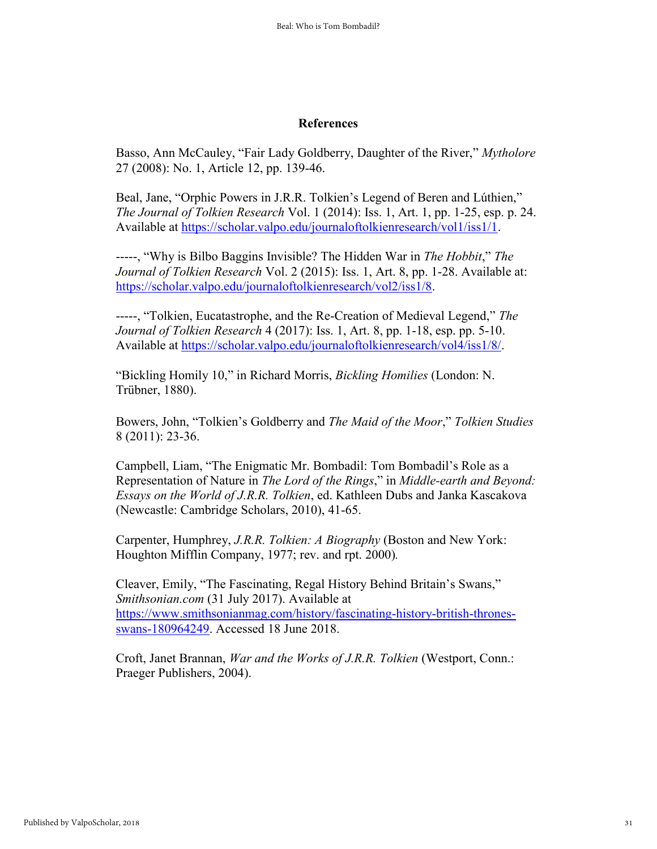## **References**

Basso, Ann McCauley, "Fair Lady Goldberry, Daughter of the River," *Mytholore*  27 (2008): No. 1, Article 12, pp. 139-46.

Beal, Jane, "Orphic Powers in J.R.R. Tolkien's Legend of Beren and Lúthien," *The Journal of Tolkien Research* Vol. 1 (2014): Iss. 1, Art. 1, pp. 1-25, esp. p. 24. Available at [https://scholar.valpo.edu/journaloftolkienresearch/vol1/iss1/1.](https://scholar.valpo.edu/journaloftolkienresearch/vol1/iss1/1)

-----, "Why is Bilbo Baggins Invisible? The Hidden War in *The Hobbit*," *The Journal of Tolkien Research* Vol. 2 (2015): Iss. 1, Art. 8, pp. 1-28. Available at: [https://scholar.valpo.edu/journaloftolkienresearch/vol2/iss1/8.](https://scholar.valpo.edu/journaloftolkienresearch/vol2/iss1/8)

-----, "Tolkien, Eucatastrophe, and the Re-Creation of Medieval Legend," *The Journal of Tolkien Research* 4 (2017): Iss. 1, Art. 8, pp. 1-18, esp. pp. 5-10. Available at [https://scholar.valpo.edu/journaloftolkienresearch/vol4/iss1/8/.](https://scholar.valpo.edu/journaloftolkienresearch/vol4/iss1/8/)

"Bickling Homily 10," in Richard Morris, *Bickling Homilies* (London: N. Trübner, 1880).

Bowers, John, "Tolkien's Goldberry and *The Maid of the Moor*," *Tolkien Studies*  8 (2011): 23-36.

Campbell, Liam, "The Enigmatic Mr. Bombadil: Tom Bombadil's Role as a Representation of Nature in *The Lord of the Rings*," in *Middle-earth and Beyond: Essays on the World of J.R.R. Tolkien*, ed. Kathleen Dubs and Janka Kascakova (Newcastle: Cambridge Scholars, 2010), 41-65.

Carpenter, Humphrey, *J.R.R. Tolkien: A Biography* (Boston and New York: Houghton Mifflin Company, 1977; rev. and rpt. 2000)*.*

Cleaver, Emily, "The Fascinating, Regal History Behind Britain's Swans," *Smithsonian.com* (31 July 2017). Available at [https://www.smithsonianmag.com/history/fascinating-history-british-thrones](https://www.smithsonianmag.com/history/fascinating-history-british-thrones-swans-180964249)[swans-180964249.](https://www.smithsonianmag.com/history/fascinating-history-british-thrones-swans-180964249) Accessed 18 June 2018.

Croft, Janet Brannan, *War and the Works of J.R.R. Tolkien* (Westport, Conn.: Praeger Publishers, 2004).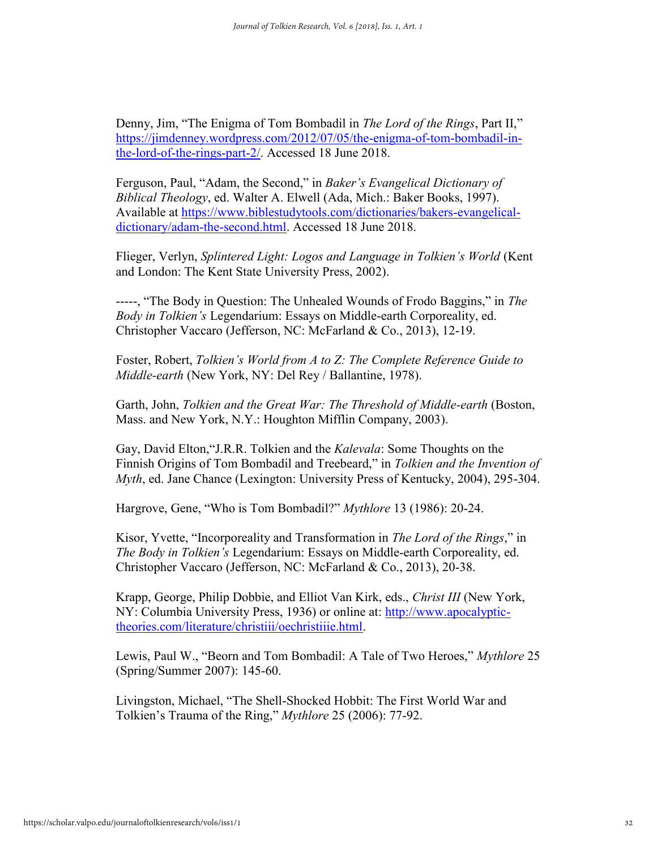Denny, Jim, "The Enigma of Tom Bombadil in *The Lord of the Rings*, Part II," [https://jimdenney.wordpress.com/2012/07/05/the-enigma-of-tom-bombadil-in](https://jimdenney.wordpress.com/2012/07/05/the-enigma-of-tom-bombadil-in-the-lord-of-the-rings-part-2/)[the-lord-of-the-rings-part-2/.](https://jimdenney.wordpress.com/2012/07/05/the-enigma-of-tom-bombadil-in-the-lord-of-the-rings-part-2/) Accessed 18 June 2018.

Ferguson, Paul, "Adam, the Second," in *Baker's Evangelical Dictionary of Biblical Theology*, ed. Walter A. Elwell (Ada, Mich.: Baker Books, 1997). Available at [https://www.biblestudytools.com/dictionaries/bakers-evangelical](https://www.biblestudytools.com/dictionaries/bakers-evangelical-dictionary/adam-the-second.html)[dictionary/adam-the-second.html.](https://www.biblestudytools.com/dictionaries/bakers-evangelical-dictionary/adam-the-second.html) Accessed 18 June 2018.

Flieger, Verlyn, *Splintered Light: Logos and Language in Tolkien's World* (Kent and London: The Kent State University Press, 2002).

-----, "The Body in Question: The Unhealed Wounds of Frodo Baggins," in *The Body in Tolkien's* Legendarium: Essays on Middle-earth Corporeality, ed. Christopher Vaccaro (Jefferson, NC: McFarland & Co., 2013), 12-19.

Foster, Robert, *Tolkien's World from A to Z: The Complete Reference Guide to Middle-earth* (New York, NY: Del Rey / Ballantine, 1978).

Garth, John, *Tolkien and the Great War: The Threshold of Middle-earth* (Boston, Mass. and New York, N.Y.: Houghton Mifflin Company, 2003).

Gay, David Elton,"J.R.R. Tolkien and the *Kalevala*: Some Thoughts on the Finnish Origins of Tom Bombadil and Treebeard," in *Tolkien and the Invention of Myth*, ed. Jane Chance (Lexington: University Press of Kentucky, 2004), 295-304.

Hargrove, Gene, "Who is Tom Bombadil?" *Mythlore* 13 (1986): 20-24.

Kisor, Yvette, "Incorporeality and Transformation in *The Lord of the Rings*," in *The Body in Tolkien's* Legendarium: Essays on Middle-earth Corporeality, ed. Christopher Vaccaro (Jefferson, NC: McFarland & Co., 2013), 20-38.

Krapp, George, Philip Dobbie, and Elliot Van Kirk, eds., *Christ III* (New York, NY: Columbia University Press, 1936) or online at: [http://www.apocalyptic](http://www.apocalyptic-theories.com/literature/christiii/oechristiiie.html)[theories.com/literature/christiii/oechristiiie.html.](http://www.apocalyptic-theories.com/literature/christiii/oechristiiie.html)

Lewis, Paul W., "Beorn and Tom Bombadil: A Tale of Two Heroes," *Mythlore* 25 (Spring/Summer 2007): 145-60.

Livingston, Michael, "The Shell-Shocked Hobbit: The First World War and Tolkien's Trauma of the Ring," *Mythlore* 25 (2006): 77-92.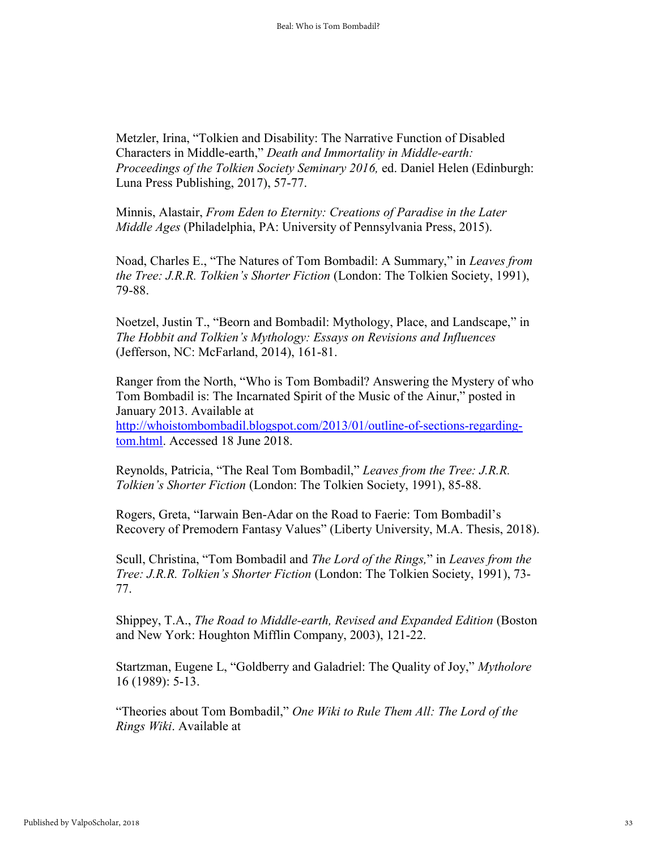Metzler, Irina, "Tolkien and Disability: The Narrative Function of Disabled Characters in Middle-earth," *Death and Immortality in Middle-earth: Proceedings of the Tolkien Society Seminary 2016, ed. Daniel Helen (Edinburgh:* Luna Press Publishing, 2017), 57-77.

Minnis, Alastair, *From Eden to Eternity: Creations of Paradise in the Later Middle Ages* (Philadelphia, PA: University of Pennsylvania Press, 2015).

Noad, Charles E., "The Natures of Tom Bombadil: A Summary," in *Leaves from the Tree: J.R.R. Tolkien's Shorter Fiction* (London: The Tolkien Society, 1991), 79-88.

Noetzel, Justin T., "Beorn and Bombadil: Mythology, Place, and Landscape," in *The Hobbit and Tolkien's Mythology: Essays on Revisions and Influences*  (Jefferson, NC: McFarland, 2014), 161-81.

Ranger from the North, "Who is Tom Bombadil? Answering the Mystery of who Tom Bombadil is: The Incarnated Spirit of the Music of the Ainur," posted in January 2013. Available at [http://whoistombombadil.blogspot.com/2013/01/outline-of-sections-regarding](http://whoistombombadil.blogspot.com/2013/01/outline-of-sections-regarding-tom.html)[tom.html.](http://whoistombombadil.blogspot.com/2013/01/outline-of-sections-regarding-tom.html) Accessed 18 June 2018.

Reynolds, Patricia, "The Real Tom Bombadil," *Leaves from the Tree: J.R.R. Tolkien's Shorter Fiction* (London: The Tolkien Society, 1991), 85-88.

Rogers, Greta, "Iarwain Ben-Adar on the Road to Faerie: Tom Bombadil's Recovery of Premodern Fantasy Values" (Liberty University, M.A. Thesis, 2018).

Scull, Christina, "Tom Bombadil and *The Lord of the Rings,*" in *Leaves from the Tree: J.R.R. Tolkien's Shorter Fiction* (London: The Tolkien Society, 1991), 73- 77.

Shippey, T.A., *The Road to Middle-earth, Revised and Expanded Edition* (Boston and New York: Houghton Mifflin Company, 2003), 121-22.

Startzman, Eugene L, "Goldberry and Galadriel: The Quality of Joy," *Mytholore*  16 (1989): 5-13.

"Theories about Tom Bombadil," *One Wiki to Rule Them All: The Lord of the Rings Wiki*. Available at